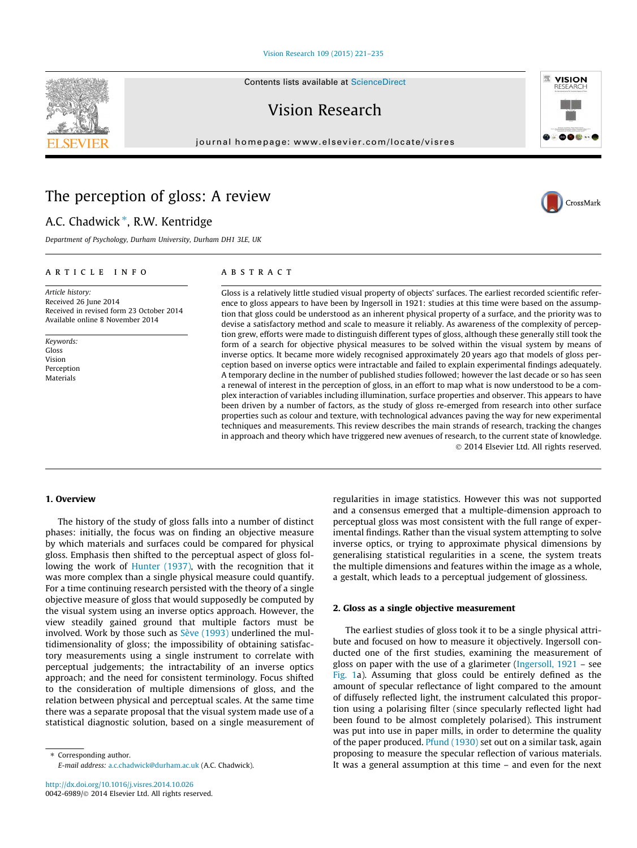# [Vision Research 109 \(2015\) 221–235](http://dx.doi.org/10.1016/j.visres.2014.10.026)

Contents lists available at [ScienceDirect](http://www.sciencedirect.com/science/journal/00426989)

# Vision Research

journal homepage: [www.elsevier.com/locate/visres](http://www.elsevier.com/locate/visres)

# The perception of gloss: A review

# A.C. Chadwick<sup>\*</sup>, R.W. Kentridge

Department of Psychology, Durham University, Durham DH1 3LE, UK

# article info

Article history: Received 26 June 2014 Received in revised form 23 October 2014 Available online 8 November 2014

Keywords: Gloss Vision Perception Materials

# **ABSTRACT**

Gloss is a relatively little studied visual property of objects' surfaces. The earliest recorded scientific reference to gloss appears to have been by Ingersoll in 1921: studies at this time were based on the assumption that gloss could be understood as an inherent physical property of a surface, and the priority was to devise a satisfactory method and scale to measure it reliably. As awareness of the complexity of perception grew, efforts were made to distinguish different types of gloss, although these generally still took the form of a search for objective physical measures to be solved within the visual system by means of inverse optics. It became more widely recognised approximately 20 years ago that models of gloss perception based on inverse optics were intractable and failed to explain experimental findings adequately. A temporary decline in the number of published studies followed; however the last decade or so has seen a renewal of interest in the perception of gloss, in an effort to map what is now understood to be a complex interaction of variables including illumination, surface properties and observer. This appears to have been driven by a number of factors, as the study of gloss re-emerged from research into other surface properties such as colour and texture, with technological advances paving the way for new experimental techniques and measurements. This review describes the main strands of research, tracking the changes in approach and theory which have triggered new avenues of research, to the current state of knowledge. - 2014 Elsevier Ltd. All rights reserved.

# 1. Overview

The history of the study of gloss falls into a number of distinct phases: initially, the focus was on finding an objective measure by which materials and surfaces could be compared for physical gloss. Emphasis then shifted to the perceptual aspect of gloss following the work of [Hunter \(1937\),](#page-13-0) with the recognition that it was more complex than a single physical measure could quantify. For a time continuing research persisted with the theory of a single objective measure of gloss that would supposedly be computed by the visual system using an inverse optics approach. However, the view steadily gained ground that multiple factors must be involved. Work by those such as [Sève \(1993\)](#page-14-0) underlined the multidimensionality of gloss; the impossibility of obtaining satisfactory measurements using a single instrument to correlate with perceptual judgements; the intractability of an inverse optics approach; and the need for consistent terminology. Focus shifted to the consideration of multiple dimensions of gloss, and the relation between physical and perceptual scales. At the same time there was a separate proposal that the visual system made use of a statistical diagnostic solution, based on a single measurement of

⇑ Corresponding author. E-mail address: [a.c.chadwick@durham.ac.uk](mailto:a.c.chadwick@durham.ac.uk) (A.C. Chadwick). regularities in image statistics. However this was not supported and a consensus emerged that a multiple-dimension approach to perceptual gloss was most consistent with the full range of experimental findings. Rather than the visual system attempting to solve inverse optics, or trying to approximate physical dimensions by generalising statistical regularities in a scene, the system treats the multiple dimensions and features within the image as a whole, a gestalt, which leads to a perceptual judgement of glossiness.

# 2. Gloss as a single objective measurement

The earliest studies of gloss took it to be a single physical attribute and focused on how to measure it objectively. Ingersoll conducted one of the first studies, examining the measurement of gloss on paper with the use of a glarimeter [\(Ingersoll, 1921](#page-13-0) – see [Fig. 1a](#page-2-0)). Assuming that gloss could be entirely defined as the amount of specular reflectance of light compared to the amount of diffusely reflected light, the instrument calculated this proportion using a polarising filter (since specularly reflected light had been found to be almost completely polarised). This instrument was put into use in paper mills, in order to determine the quality of the paper produced. [Pfund \(1930\)](#page-14-0) set out on a similar task, again proposing to measure the specular reflection of various materials. It was a general assumption at this time – and even for the next





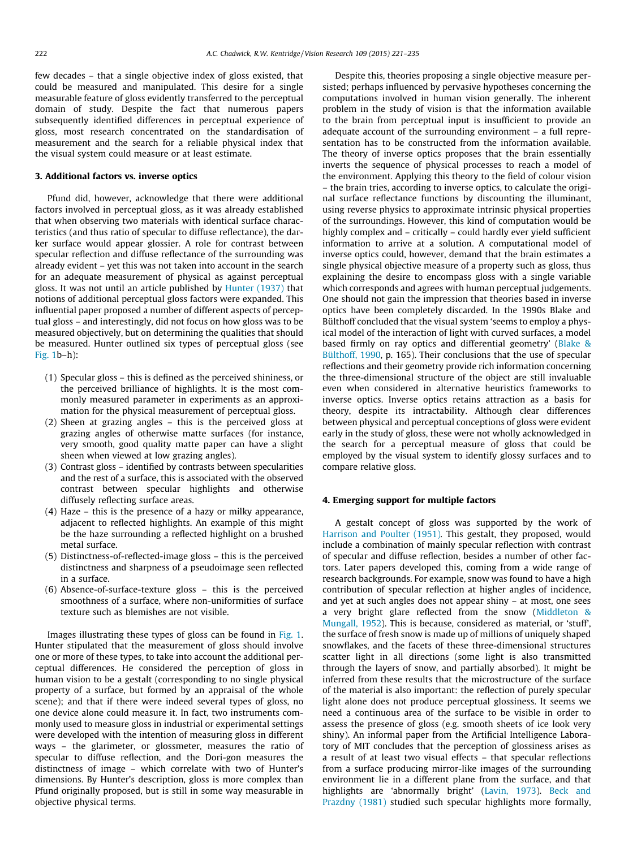few decades – that a single objective index of gloss existed, that could be measured and manipulated. This desire for a single measurable feature of gloss evidently transferred to the perceptual domain of study. Despite the fact that numerous papers subsequently identified differences in perceptual experience of gloss, most research concentrated on the standardisation of measurement and the search for a reliable physical index that the visual system could measure or at least estimate.

# 3. Additional factors vs. inverse optics

Pfund did, however, acknowledge that there were additional factors involved in perceptual gloss, as it was already established that when observing two materials with identical surface characteristics (and thus ratio of specular to diffuse reflectance), the darker surface would appear glossier. A role for contrast between specular reflection and diffuse reflectance of the surrounding was already evident – yet this was not taken into account in the search for an adequate measurement of physical as against perceptual gloss. It was not until an article published by [Hunter \(1937\)](#page-13-0) that notions of additional perceptual gloss factors were expanded. This influential paper proposed a number of different aspects of perceptual gloss – and interestingly, did not focus on how gloss was to be measured objectively, but on determining the qualities that should be measured. Hunter outlined six types of perceptual gloss (see [Fig. 1](#page-2-0)b–h):

- (1) Specular gloss this is defined as the perceived shininess, or the perceived brilliance of highlights. It is the most commonly measured parameter in experiments as an approximation for the physical measurement of perceptual gloss.
- (2) Sheen at grazing angles this is the perceived gloss at grazing angles of otherwise matte surfaces (for instance, very smooth, good quality matte paper can have a slight sheen when viewed at low grazing angles).
- (3) Contrast gloss identified by contrasts between specularities and the rest of a surface, this is associated with the observed contrast between specular highlights and otherwise diffusely reflecting surface areas.
- (4) Haze this is the presence of a hazy or milky appearance, adjacent to reflected highlights. An example of this might be the haze surrounding a reflected highlight on a brushed metal surface.
- (5) Distinctness-of-reflected-image gloss this is the perceived distinctness and sharpness of a pseudoimage seen reflected in a surface.
- (6) Absence-of-surface-texture gloss this is the perceived smoothness of a surface, where non-uniformities of surface texture such as blemishes are not visible.

Images illustrating these types of gloss can be found in [Fig. 1.](#page-2-0) Hunter stipulated that the measurement of gloss should involve one or more of these types, to take into account the additional perceptual differences. He considered the perception of gloss in human vision to be a gestalt (corresponding to no single physical property of a surface, but formed by an appraisal of the whole scene); and that if there were indeed several types of gloss, no one device alone could measure it. In fact, two instruments commonly used to measure gloss in industrial or experimental settings were developed with the intention of measuring gloss in different ways – the glarimeter, or glossmeter, measures the ratio of specular to diffuse reflection, and the Dori-gon measures the distinctness of image – which correlate with two of Hunter's dimensions. By Hunter's description, gloss is more complex than Pfund originally proposed, but is still in some way measurable in objective physical terms.

Despite this, theories proposing a single objective measure persisted; perhaps influenced by pervasive hypotheses concerning the computations involved in human vision generally. The inherent problem in the study of vision is that the information available to the brain from perceptual input is insufficient to provide an adequate account of the surrounding environment – a full representation has to be constructed from the information available. The theory of inverse optics proposes that the brain essentially inverts the sequence of physical processes to reach a model of the environment. Applying this theory to the field of colour vision – the brain tries, according to inverse optics, to calculate the original surface reflectance functions by discounting the illuminant, using reverse physics to approximate intrinsic physical properties of the surroundings. However, this kind of computation would be highly complex and – critically – could hardly ever yield sufficient information to arrive at a solution. A computational model of inverse optics could, however, demand that the brain estimates a single physical objective measure of a property such as gloss, thus explaining the desire to encompass gloss with a single variable which corresponds and agrees with human perceptual judgements. One should not gain the impression that theories based in inverse optics have been completely discarded. In the 1990s Blake and Bülthoff concluded that the visual system 'seems to employ a physical model of the interaction of light with curved surfaces, a model based firmly on ray optics and differential geometry' [\(Blake &](#page-13-0) [Bülthoff, 1990,](#page-13-0) p. 165). Their conclusions that the use of specular reflections and their geometry provide rich information concerning the three-dimensional structure of the object are still invaluable even when considered in alternative heuristics frameworks to inverse optics. Inverse optics retains attraction as a basis for theory, despite its intractability. Although clear differences between physical and perceptual conceptions of gloss were evident early in the study of gloss, these were not wholly acknowledged in the search for a perceptual measure of gloss that could be employed by the visual system to identify glossy surfaces and to compare relative gloss.

# 4. Emerging support for multiple factors

A gestalt concept of gloss was supported by the work of [Harrison and Poulter \(1951\).](#page-13-0) This gestalt, they proposed, would include a combination of mainly specular reflection with contrast of specular and diffuse reflection, besides a number of other factors. Later papers developed this, coming from a wide range of research backgrounds. For example, snow was found to have a high contribution of specular reflection at higher angles of incidence, and yet at such angles does not appear shiny – at most, one sees a very bright glare reflected from the snow ([Middleton &](#page-14-0) [Mungall, 1952\)](#page-14-0). This is because, considered as material, or 'stuff', the surface of fresh snow is made up of millions of uniquely shaped snowflakes, and the facets of these three-dimensional structures scatter light in all directions (some light is also transmitted through the layers of snow, and partially absorbed). It might be inferred from these results that the microstructure of the surface of the material is also important: the reflection of purely specular light alone does not produce perceptual glossiness. It seems we need a continuous area of the surface to be visible in order to assess the presence of gloss (e.g. smooth sheets of ice look very shiny). An informal paper from the Artificial Intelligence Laboratory of MIT concludes that the perception of glossiness arises as a result of at least two visual effects – that specular reflections from a surface producing mirror-like images of the surrounding environment lie in a different plane from the surface, and that highlights are 'abnormally bright' [\(Lavin, 1973\)](#page-13-0). [Beck and](#page-13-0) [Prazdny \(1981\)](#page-13-0) studied such specular highlights more formally,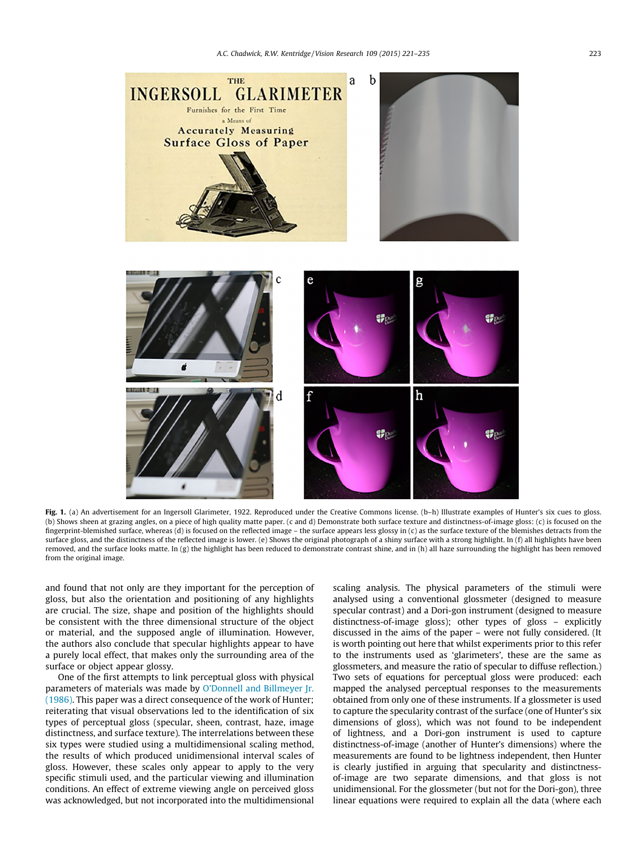<span id="page-2-0"></span>

Fig. 1. (a) An advertisement for an Ingersoll Glarimeter, 1922. Reproduced under the Creative Commons license. (b-h) Illustrate examples of Hunter's six cues to gloss. (b) Shows sheen at grazing angles, on a piece of high quality matte paper. (c and d) Demonstrate both surface texture and distinctness-of-image gloss: (c) is focused on the fingerprint-blemished surface, whereas (d) is focused on the reflected image – the surface appears less glossy in (c) as the surface texture of the blemishes detracts from the surface gloss, and the distinctness of the reflected image is lower. (e) Shows the original photograph of a shiny surface with a strong highlight. In (f) all highlights have been removed, and the surface looks matte. In (g) the highlight has been reduced to demonstrate contrast shine, and in (h) all haze surrounding the highlight has been removed from the original image.

and found that not only are they important for the perception of gloss, but also the orientation and positioning of any highlights are crucial. The size, shape and position of the highlights should be consistent with the three dimensional structure of the object or material, and the supposed angle of illumination. However, the authors also conclude that specular highlights appear to have a purely local effect, that makes only the surrounding area of the surface or object appear glossy.

One of the first attempts to link perceptual gloss with physical parameters of materials was made by [O'Donnell and Billmeyer Jr.](#page-14-0) [\(1986\).](#page-14-0) This paper was a direct consequence of the work of Hunter; reiterating that visual observations led to the identification of six types of perceptual gloss (specular, sheen, contrast, haze, image distinctness, and surface texture). The interrelations between these six types were studied using a multidimensional scaling method, the results of which produced unidimensional interval scales of gloss. However, these scales only appear to apply to the very specific stimuli used, and the particular viewing and illumination conditions. An effect of extreme viewing angle on perceived gloss was acknowledged, but not incorporated into the multidimensional scaling analysis. The physical parameters of the stimuli were analysed using a conventional glossmeter (designed to measure specular contrast) and a Dori-gon instrument (designed to measure distinctness-of-image gloss); other types of gloss – explicitly discussed in the aims of the paper – were not fully considered. (It is worth pointing out here that whilst experiments prior to this refer to the instruments used as 'glarimeters', these are the same as glossmeters, and measure the ratio of specular to diffuse reflection.) Two sets of equations for perceptual gloss were produced: each mapped the analysed perceptual responses to the measurements obtained from only one of these instruments. If a glossmeter is used to capture the specularity contrast of the surface (one of Hunter's six dimensions of gloss), which was not found to be independent of lightness, and a Dori-gon instrument is used to capture distinctness-of-image (another of Hunter's dimensions) where the measurements are found to be lightness independent, then Hunter is clearly justified in arguing that specularity and distinctnessof-image are two separate dimensions, and that gloss is not unidimensional. For the glossmeter (but not for the Dori-gon), three linear equations were required to explain all the data (where each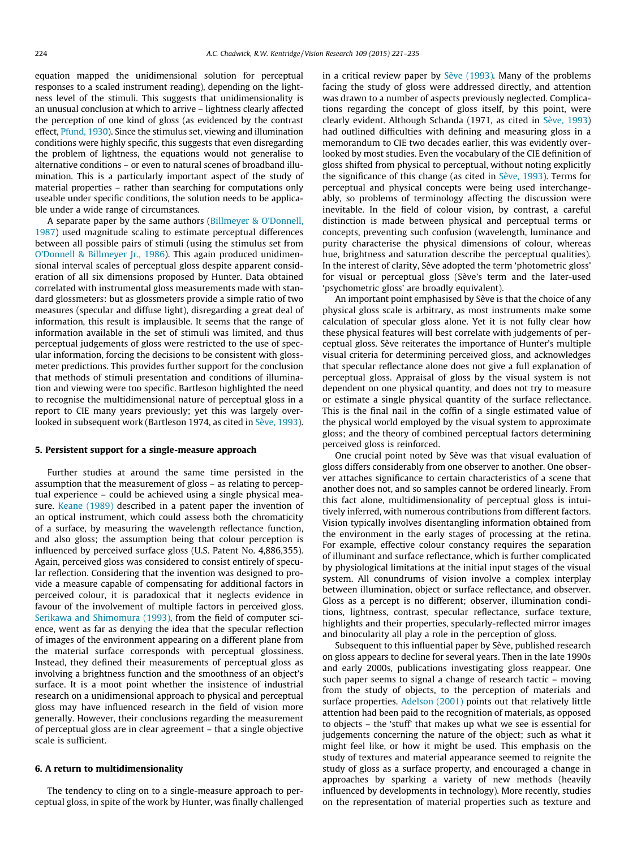equation mapped the unidimensional solution for perceptual responses to a scaled instrument reading), depending on the lightness level of the stimuli. This suggests that unidimensionality is an unusual conclusion at which to arrive – lightness clearly affected the perception of one kind of gloss (as evidenced by the contrast effect, [Pfund, 1930\)](#page-14-0). Since the stimulus set, viewing and illumination conditions were highly specific, this suggests that even disregarding the problem of lightness, the equations would not generalise to alternative conditions – or even to natural scenes of broadband illumination. This is a particularly important aspect of the study of material properties – rather than searching for computations only useable under specific conditions, the solution needs to be applicable under a wide range of circumstances.

A separate paper by the same authors ([Billmeyer & O'Donnell,](#page-13-0) [1987\)](#page-13-0) used magnitude scaling to estimate perceptual differences between all possible pairs of stimuli (using the stimulus set from [O'Donnell & Billmeyer Jr., 1986](#page-14-0)). This again produced unidimensional interval scales of perceptual gloss despite apparent consideration of all six dimensions proposed by Hunter. Data obtained correlated with instrumental gloss measurements made with standard glossmeters: but as glossmeters provide a simple ratio of two measures (specular and diffuse light), disregarding a great deal of information, this result is implausible. It seems that the range of information available in the set of stimuli was limited, and thus perceptual judgements of gloss were restricted to the use of specular information, forcing the decisions to be consistent with glossmeter predictions. This provides further support for the conclusion that methods of stimuli presentation and conditions of illumination and viewing were too specific. Bartleson highlighted the need to recognise the multidimensional nature of perceptual gloss in a report to CIE many years previously; yet this was largely over-looked in subsequent work (Bartleson 1974, as cited in [Sève, 1993\)](#page-14-0).

# 5. Persistent support for a single-measure approach

Further studies at around the same time persisted in the assumption that the measurement of gloss – as relating to perceptual experience – could be achieved using a single physical mea-sure. [Keane \(1989\)](#page-13-0) described in a patent paper the invention of an optical instrument, which could assess both the chromaticity of a surface, by measuring the wavelength reflectance function, and also gloss; the assumption being that colour perception is influenced by perceived surface gloss (U.S. Patent No. 4,886,355). Again, perceived gloss was considered to consist entirely of specular reflection. Considering that the invention was designed to provide a measure capable of compensating for additional factors in perceived colour, it is paradoxical that it neglects evidence in favour of the involvement of multiple factors in perceived gloss. [Serikawa and Shimomura \(1993\)](#page-14-0), from the field of computer science, went as far as denying the idea that the specular reflection of images of the environment appearing on a different plane from the material surface corresponds with perceptual glossiness. Instead, they defined their measurements of perceptual gloss as involving a brightness function and the smoothness of an object's surface. It is a moot point whether the insistence of industrial research on a unidimensional approach to physical and perceptual gloss may have influenced research in the field of vision more generally. However, their conclusions regarding the measurement of perceptual gloss are in clear agreement – that a single objective scale is sufficient.

# 6. A return to multidimensionality

The tendency to cling on to a single-measure approach to perceptual gloss, in spite of the work by Hunter, was finally challenged in a critical review paper by [Sève \(1993\)](#page-14-0). Many of the problems facing the study of gloss were addressed directly, and attention was drawn to a number of aspects previously neglected. Complications regarding the concept of gloss itself, by this point, were clearly evident. Although Schanda (1971, as cited in [Sève, 1993\)](#page-14-0) had outlined difficulties with defining and measuring gloss in a memorandum to CIE two decades earlier, this was evidently overlooked by most studies. Even the vocabulary of the CIE definition of gloss shifted from physical to perceptual, without noting explicitly the significance of this change (as cited in [Sève, 1993\)](#page-14-0). Terms for perceptual and physical concepts were being used interchangeably, so problems of terminology affecting the discussion were inevitable. In the field of colour vision, by contrast, a careful distinction is made between physical and perceptual terms or concepts, preventing such confusion (wavelength, luminance and purity characterise the physical dimensions of colour, whereas hue, brightness and saturation describe the perceptual qualities). In the interest of clarity, Sève adopted the term 'photometric gloss' for visual or perceptual gloss (Sève's term and the later-used 'psychometric gloss' are broadly equivalent).

An important point emphasised by Sève is that the choice of any physical gloss scale is arbitrary, as most instruments make some calculation of specular gloss alone. Yet it is not fully clear how these physical features will best correlate with judgements of perceptual gloss. Sève reiterates the importance of Hunter's multiple visual criteria for determining perceived gloss, and acknowledges that specular reflectance alone does not give a full explanation of perceptual gloss. Appraisal of gloss by the visual system is not dependent on one physical quantity, and does not try to measure or estimate a single physical quantity of the surface reflectance. This is the final nail in the coffin of a single estimated value of the physical world employed by the visual system to approximate gloss; and the theory of combined perceptual factors determining perceived gloss is reinforced.

One crucial point noted by Sève was that visual evaluation of gloss differs considerably from one observer to another. One observer attaches significance to certain characteristics of a scene that another does not, and so samples cannot be ordered linearly. From this fact alone, multidimensionality of perceptual gloss is intuitively inferred, with numerous contributions from different factors. Vision typically involves disentangling information obtained from the environment in the early stages of processing at the retina. For example, effective colour constancy requires the separation of illuminant and surface reflectance, which is further complicated by physiological limitations at the initial input stages of the visual system. All conundrums of vision involve a complex interplay between illumination, object or surface reflectance, and observer. Gloss as a percept is no different; observer, illumination conditions, lightness, contrast, specular reflectance, surface texture, highlights and their properties, specularly-reflected mirror images and binocularity all play a role in the perception of gloss.

Subsequent to this influential paper by Sève, published research on gloss appears to decline for several years. Then in the late 1990s and early 2000s, publications investigating gloss reappear. One such paper seems to signal a change of research tactic – moving from the study of objects, to the perception of materials and surface properties. [Adelson \(2001\)](#page-13-0) points out that relatively little attention had been paid to the recognition of materials, as opposed to objects – the 'stuff' that makes up what we see is essential for judgements concerning the nature of the object; such as what it might feel like, or how it might be used. This emphasis on the study of textures and material appearance seemed to reignite the study of gloss as a surface property, and encouraged a change in approaches by sparking a variety of new methods (heavily influenced by developments in technology). More recently, studies on the representation of material properties such as texture and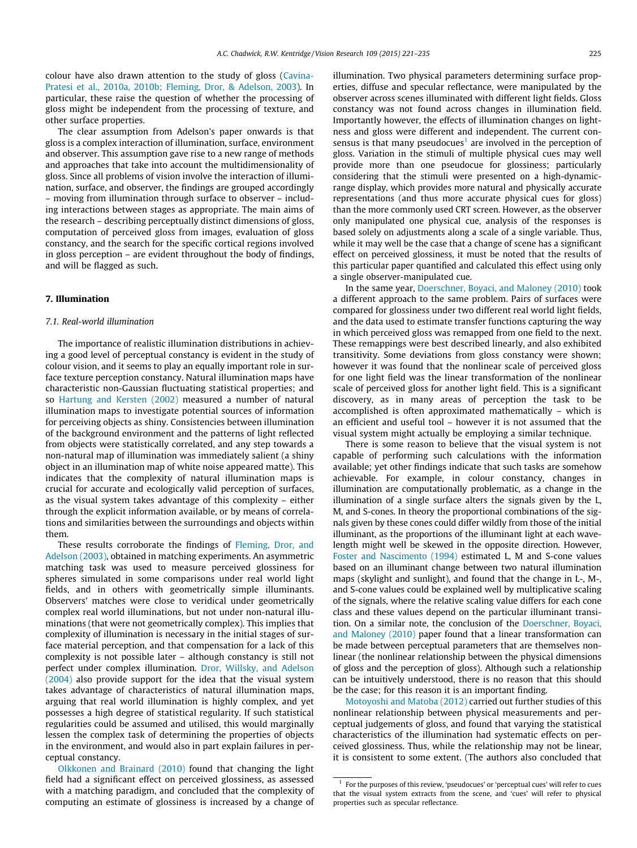colour have also drawn attention to the study of gloss ([Cavina-](#page-13-0)[Pratesi et al., 2010a, 2010b; Fleming, Dror, & Adelson, 2003\)](#page-13-0). In particular, these raise the question of whether the processing of gloss might be independent from the processing of texture, and other surface properties.

The clear assumption from Adelson's paper onwards is that gloss is a complex interaction of illumination, surface, environment and observer. This assumption gave rise to a new range of methods and approaches that take into account the multidimensionality of gloss. Since all problems of vision involve the interaction of illumination, surface, and observer, the findings are grouped accordingly – moving from illumination through surface to observer – including interactions between stages as appropriate. The main aims of the research – describing perceptually distinct dimensions of gloss, computation of perceived gloss from images, evaluation of gloss constancy, and the search for the specific cortical regions involved in gloss perception – are evident throughout the body of findings, and will be flagged as such.

# 7. Illumination

# 7.1. Real-world illumination

The importance of realistic illumination distributions in achieving a good level of perceptual constancy is evident in the study of colour vision, and it seems to play an equally important role in surface texture perception constancy. Natural illumination maps have characteristic non-Gaussian fluctuating statistical properties; and so [Hartung and Kersten \(2002\)](#page-13-0) measured a number of natural illumination maps to investigate potential sources of information for perceiving objects as shiny. Consistencies between illumination of the background environment and the patterns of light reflected from objects were statistically correlated, and any step towards a non-natural map of illumination was immediately salient (a shiny object in an illumination map of white noise appeared matte). This indicates that the complexity of natural illumination maps is crucial for accurate and ecologically valid perception of surfaces, as the visual system takes advantage of this complexity – either through the explicit information available, or by means of correlations and similarities between the surroundings and objects within them.

These results corroborate the findings of [Fleming, Dror, and](#page-13-0) [Adelson \(2003\),](#page-13-0) obtained in matching experiments. An asymmetric matching task was used to measure perceived glossiness for spheres simulated in some comparisons under real world light fields, and in others with geometrically simple illuminants. Observers' matches were close to veridical under geometrically complex real world illuminations, but not under non-natural illuminations (that were not geometrically complex). This implies that complexity of illumination is necessary in the initial stages of surface material perception, and that compensation for a lack of this complexity is not possible later – although constancy is still not perfect under complex illumination. [Dror, Willsky, and Adelson](#page-13-0) [\(2004\)](#page-13-0) also provide support for the idea that the visual system takes advantage of characteristics of natural illumination maps, arguing that real world illumination is highly complex, and yet possesses a high degree of statistical regularity. If such statistical regularities could be assumed and utilised, this would marginally lessen the complex task of determining the properties of objects in the environment, and would also in part explain failures in perceptual constancy.

[Olkkonen and Brainard \(2010\)](#page-14-0) found that changing the light field had a significant effect on perceived glossiness, as assessed with a matching paradigm, and concluded that the complexity of computing an estimate of glossiness is increased by a change of

illumination. Two physical parameters determining surface properties, diffuse and specular reflectance, were manipulated by the observer across scenes illuminated with different light fields. Gloss constancy was not found across changes in illumination field. Importantly however, the effects of illumination changes on lightness and gloss were different and independent. The current consensus is that many pseudocues<sup>1</sup> are involved in the perception of gloss. Variation in the stimuli of multiple physical cues may well provide more than one pseudocue for glossiness; particularly considering that the stimuli were presented on a high-dynamicrange display, which provides more natural and physically accurate representations (and thus more accurate physical cues for gloss) than the more commonly used CRT screen. However, as the observer only manipulated one physical cue, analysis of the responses is based solely on adjustments along a scale of a single variable. Thus, while it may well be the case that a change of scene has a significant effect on perceived glossiness, it must be noted that the results of this particular paper quantified and calculated this effect using only a single observer-manipulated cue.

In the same year, [Doerschner, Boyaci, and Maloney \(2010\)](#page-13-0) took a different approach to the same problem. Pairs of surfaces were compared for glossiness under two different real world light fields, and the data used to estimate transfer functions capturing the way in which perceived gloss was remapped from one field to the next. These remappings were best described linearly, and also exhibited transitivity. Some deviations from gloss constancy were shown; however it was found that the nonlinear scale of perceived gloss for one light field was the linear transformation of the nonlinear scale of perceived gloss for another light field. This is a significant discovery, as in many areas of perception the task to be accomplished is often approximated mathematically – which is an efficient and useful tool – however it is not assumed that the visual system might actually be employing a similar technique.

There is some reason to believe that the visual system is not capable of performing such calculations with the information available; yet other findings indicate that such tasks are somehow achievable. For example, in colour constancy, changes in illumination are computationally problematic, as a change in the illumination of a single surface alters the signals given by the L, M, and S-cones. In theory the proportional combinations of the signals given by these cones could differ wildly from those of the initial illuminant, as the proportions of the illuminant light at each wavelength might well be skewed in the opposite direction. However, [Foster and Nascimento \(1994\)](#page-13-0) estimated L, M and S-cone values based on an illuminant change between two natural illumination maps (skylight and sunlight), and found that the change in L-, M-, and S-cone values could be explained well by multiplicative scaling of the signals, where the relative scaling value differs for each cone class and these values depend on the particular illuminant transition. On a similar note, the conclusion of the [Doerschner, Boyaci,](#page-13-0) [and Maloney \(2010\)](#page-13-0) paper found that a linear transformation can be made between perceptual parameters that are themselves nonlinear (the nonlinear relationship between the physical dimensions of gloss and the perception of gloss). Although such a relationship can be intuitively understood, there is no reason that this should be the case; for this reason it is an important finding.

[Motoyoshi and Matoba \(2012\)](#page-14-0) carried out further studies of this nonlinear relationship between physical measurements and perceptual judgements of gloss, and found that varying the statistical characteristics of the illumination had systematic effects on perceived glossiness. Thus, while the relationship may not be linear, it is consistent to some extent. (The authors also concluded that

 $1$  For the purposes of this review, 'pseudocues' or 'perceptual cues' will refer to cues that the visual system extracts from the scene, and 'cues' will refer to physical properties such as specular reflectance.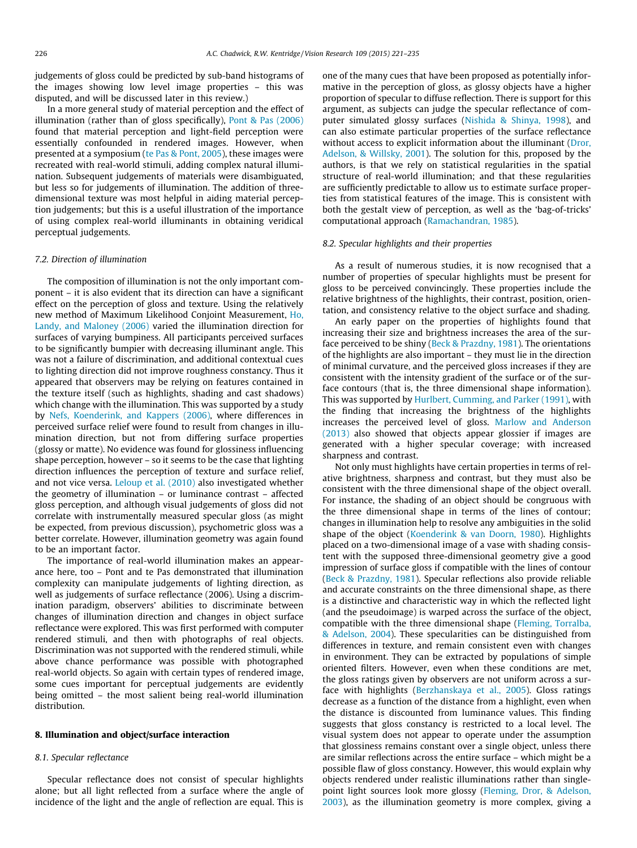judgements of gloss could be predicted by sub-band histograms of the images showing low level image properties – this was disputed, and will be discussed later in this review.)

In a more general study of material perception and the effect of illumination (rather than of gloss specifically), [Pont & Pas \(2006\)](#page-14-0) found that material perception and light-field perception were essentially confounded in rendered images. However, when presented at a symposium [\(te Pas & Pont, 2005](#page-14-0)), these images were recreated with real-world stimuli, adding complex natural illumination. Subsequent judgements of materials were disambiguated, but less so for judgements of illumination. The addition of threedimensional texture was most helpful in aiding material perception judgements; but this is a useful illustration of the importance of using complex real-world illuminants in obtaining veridical perceptual judgements.

# 7.2. Direction of illumination

The composition of illumination is not the only important component – it is also evident that its direction can have a significant effect on the perception of gloss and texture. Using the relatively new method of Maximum Likelihood Conjoint Measurement, [Ho,](#page-13-0) [Landy, and Maloney \(2006\)](#page-13-0) varied the illumination direction for surfaces of varying bumpiness. All participants perceived surfaces to be significantly bumpier with decreasing illuminant angle. This was not a failure of discrimination, and additional contextual cues to lighting direction did not improve roughness constancy. Thus it appeared that observers may be relying on features contained in the texture itself (such as highlights, shading and cast shadows) which change with the illumination. This was supported by a study by [Nefs, Koenderink, and Kappers \(2006\),](#page-14-0) where differences in perceived surface relief were found to result from changes in illumination direction, but not from differing surface properties (glossy or matte). No evidence was found for glossiness influencing shape perception, however – so it seems to be the case that lighting direction influences the perception of texture and surface relief, and not vice versa. [Leloup et al. \(2010\)](#page-14-0) also investigated whether the geometry of illumination – or luminance contrast – affected gloss perception, and although visual judgements of gloss did not correlate with instrumentally measured specular gloss (as might be expected, from previous discussion), psychometric gloss was a better correlate. However, illumination geometry was again found to be an important factor.

The importance of real-world illumination makes an appearance here, too – Pont and te Pas demonstrated that illumination complexity can manipulate judgements of lighting direction, as well as judgements of surface reflectance (2006). Using a discrimination paradigm, observers' abilities to discriminate between changes of illumination direction and changes in object surface reflectance were explored. This was first performed with computer rendered stimuli, and then with photographs of real objects. Discrimination was not supported with the rendered stimuli, while above chance performance was possible with photographed real-world objects. So again with certain types of rendered image, some cues important for perceptual judgements are evidently being omitted – the most salient being real-world illumination distribution.

#### 8. Illumination and object/surface interaction

# 8.1. Specular reflectance

Specular reflectance does not consist of specular highlights alone; but all light reflected from a surface where the angle of incidence of the light and the angle of reflection are equal. This is one of the many cues that have been proposed as potentially informative in the perception of gloss, as glossy objects have a higher proportion of specular to diffuse reflection. There is support for this argument, as subjects can judge the specular reflectance of computer simulated glossy surfaces ([Nishida & Shinya, 1998](#page-14-0)), and can also estimate particular properties of the surface reflectance without access to explicit information about the illuminant ([Dror,](#page-13-0) [Adelson, & Willsky, 2001](#page-13-0)). The solution for this, proposed by the authors, is that we rely on statistical regularities in the spatial structure of real-world illumination; and that these regularities are sufficiently predictable to allow us to estimate surface properties from statistical features of the image. This is consistent with both the gestalt view of perception, as well as the 'bag-of-tricks' computational approach ([Ramachandran, 1985](#page-14-0)).

# 8.2. Specular highlights and their properties

As a result of numerous studies, it is now recognised that a number of properties of specular highlights must be present for gloss to be perceived convincingly. These properties include the relative brightness of the highlights, their contrast, position, orientation, and consistency relative to the object surface and shading.

An early paper on the properties of highlights found that increasing their size and brightness increases the area of the surface perceived to be shiny ([Beck & Prazdny, 1981](#page-13-0)). The orientations of the highlights are also important – they must lie in the direction of minimal curvature, and the perceived gloss increases if they are consistent with the intensity gradient of the surface or of the surface contours (that is, the three dimensional shape information). This was supported by [Hurlbert, Cumming, and Parker \(1991\)](#page-13-0), with the finding that increasing the brightness of the highlights increases the perceived level of gloss. [Marlow and Anderson](#page-14-0) [\(2013\)](#page-14-0) also showed that objects appear glossier if images are generated with a higher specular coverage; with increased sharpness and contrast.

Not only must highlights have certain properties in terms of relative brightness, sharpness and contrast, but they must also be consistent with the three dimensional shape of the object overall. For instance, the shading of an object should be congruous with the three dimensional shape in terms of the lines of contour; changes in illumination help to resolve any ambiguities in the solid shape of the object ([Koenderink & van Doorn, 1980](#page-13-0)). Highlights placed on a two-dimensional image of a vase with shading consistent with the supposed three-dimensional geometry give a good impression of surface gloss if compatible with the lines of contour ([Beck & Prazdny, 1981\)](#page-13-0). Specular reflections also provide reliable and accurate constraints on the three dimensional shape, as there is a distinctive and characteristic way in which the reflected light (and the pseudoimage) is warped across the surface of the object, compatible with the three dimensional shape ([Fleming, Torralba,](#page-13-0) [& Adelson, 2004](#page-13-0)). These specularities can be distinguished from differences in texture, and remain consistent even with changes in environment. They can be extracted by populations of simple oriented filters. However, even when these conditions are met, the gloss ratings given by observers are not uniform across a surface with highlights [\(Berzhanskaya et al., 2005](#page-13-0)). Gloss ratings decrease as a function of the distance from a highlight, even when the distance is discounted from luminance values. This finding suggests that gloss constancy is restricted to a local level. The visual system does not appear to operate under the assumption that glossiness remains constant over a single object, unless there are similar reflections across the entire surface – which might be a possible flaw of gloss constancy. However, this would explain why objects rendered under realistic illuminations rather than singlepoint light sources look more glossy [\(Fleming, Dror, & Adelson,](#page-13-0) [2003\)](#page-13-0), as the illumination geometry is more complex, giving a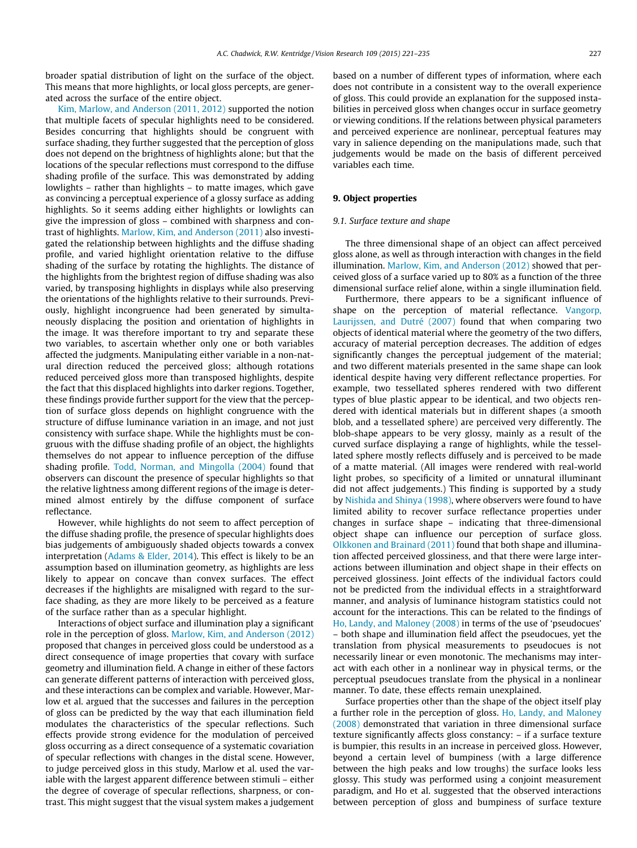broader spatial distribution of light on the surface of the object. This means that more highlights, or local gloss percepts, are generated across the surface of the entire object.

[Kim, Marlow, and Anderson \(2011, 2012\)](#page-13-0) supported the notion that multiple facets of specular highlights need to be considered. Besides concurring that highlights should be congruent with surface shading, they further suggested that the perception of gloss does not depend on the brightness of highlights alone; but that the locations of the specular reflections must correspond to the diffuse shading profile of the surface. This was demonstrated by adding lowlights – rather than highlights – to matte images, which gave as convincing a perceptual experience of a glossy surface as adding highlights. So it seems adding either highlights or lowlights can give the impression of gloss – combined with sharpness and contrast of highlights. [Marlow, Kim, and Anderson \(2011\)](#page-14-0) also investigated the relationship between highlights and the diffuse shading profile, and varied highlight orientation relative to the diffuse shading of the surface by rotating the highlights. The distance of the highlights from the brightest region of diffuse shading was also varied, by transposing highlights in displays while also preserving the orientations of the highlights relative to their surrounds. Previously, highlight incongruence had been generated by simultaneously displacing the position and orientation of highlights in the image. It was therefore important to try and separate these two variables, to ascertain whether only one or both variables affected the judgments. Manipulating either variable in a non-natural direction reduced the perceived gloss; although rotations reduced perceived gloss more than transposed highlights, despite the fact that this displaced highlights into darker regions. Together, these findings provide further support for the view that the perception of surface gloss depends on highlight congruence with the structure of diffuse luminance variation in an image, and not just consistency with surface shape. While the highlights must be congruous with the diffuse shading profile of an object, the highlights themselves do not appear to influence perception of the diffuse shading profile. [Todd, Norman, and Mingolla \(2004\)](#page-14-0) found that observers can discount the presence of specular highlights so that the relative lightness among different regions of the image is determined almost entirely by the diffuse component of surface reflectance.

However, while highlights do not seem to affect perception of the diffuse shading profile, the presence of specular highlights does bias judgements of ambiguously shaded objects towards a convex interpretation [\(Adams & Elder, 2014\)](#page-13-0). This effect is likely to be an assumption based on illumination geometry, as highlights are less likely to appear on concave than convex surfaces. The effect decreases if the highlights are misaligned with regard to the surface shading, as they are more likely to be perceived as a feature of the surface rather than as a specular highlight.

Interactions of object surface and illumination play a significant role in the perception of gloss. [Marlow, Kim, and Anderson \(2012\)](#page-14-0) proposed that changes in perceived gloss could be understood as a direct consequence of image properties that covary with surface geometry and illumination field. A change in either of these factors can generate different patterns of interaction with perceived gloss, and these interactions can be complex and variable. However, Marlow et al. argued that the successes and failures in the perception of gloss can be predicted by the way that each illumination field modulates the characteristics of the specular reflections. Such effects provide strong evidence for the modulation of perceived gloss occurring as a direct consequence of a systematic covariation of specular reflections with changes in the distal scene. However, to judge perceived gloss in this study, Marlow et al. used the variable with the largest apparent difference between stimuli – either the degree of coverage of specular reflections, sharpness, or contrast. This might suggest that the visual system makes a judgement based on a number of different types of information, where each does not contribute in a consistent way to the overall experience of gloss. This could provide an explanation for the supposed instabilities in perceived gloss when changes occur in surface geometry or viewing conditions. If the relations between physical parameters and perceived experience are nonlinear, perceptual features may vary in salience depending on the manipulations made, such that judgements would be made on the basis of different perceived variables each time.

# 9. Object properties

# 9.1. Surface texture and shape

The three dimensional shape of an object can affect perceived gloss alone, as well as through interaction with changes in the field illumination. [Marlow, Kim, and Anderson \(2012\)](#page-14-0) showed that perceived gloss of a surface varied up to 80% as a function of the three dimensional surface relief alone, within a single illumination field.

Furthermore, there appears to be a significant influence of shape on the perception of material reflectance. [Vangorp,](#page-14-0) [Laurijssen, and Dutré \(2007\)](#page-14-0) found that when comparing two objects of identical material where the geometry of the two differs, accuracy of material perception decreases. The addition of edges significantly changes the perceptual judgement of the material; and two different materials presented in the same shape can look identical despite having very different reflectance properties. For example, two tessellated spheres rendered with two different types of blue plastic appear to be identical, and two objects rendered with identical materials but in different shapes (a smooth blob, and a tessellated sphere) are perceived very differently. The blob-shape appears to be very glossy, mainly as a result of the curved surface displaying a range of highlights, while the tessellated sphere mostly reflects diffusely and is perceived to be made of a matte material. (All images were rendered with real-world light probes, so specificity of a limited or unnatural illuminant did not affect judgements.) This finding is supported by a study by [Nishida and Shinya \(1998\)](#page-14-0), where observers were found to have limited ability to recover surface reflectance properties under changes in surface shape – indicating that three-dimensional object shape can influence our perception of surface gloss. [Olkkonen and Brainard \(2011\)](#page-14-0) found that both shape and illumination affected perceived glossiness, and that there were large interactions between illumination and object shape in their effects on perceived glossiness. Joint effects of the individual factors could not be predicted from the individual effects in a straightforward manner, and analysis of luminance histogram statistics could not account for the interactions. This can be related to the findings of [Ho, Landy, and Maloney \(2008\)](#page-13-0) in terms of the use of 'pseudocues' – both shape and illumination field affect the pseudocues, yet the translation from physical measurements to pseudocues is not necessarily linear or even monotonic. The mechanisms may interact with each other in a nonlinear way in physical terms, or the perceptual pseudocues translate from the physical in a nonlinear manner. To date, these effects remain unexplained.

Surface properties other than the shape of the object itself play a further role in the perception of gloss. [Ho, Landy, and Maloney](#page-13-0) [\(2008\)](#page-13-0) demonstrated that variation in three dimensional surface texture significantly affects gloss constancy: – if a surface texture is bumpier, this results in an increase in perceived gloss. However, beyond a certain level of bumpiness (with a large difference between the high peaks and low troughs) the surface looks less glossy. This study was performed using a conjoint measurement paradigm, and Ho et al. suggested that the observed interactions between perception of gloss and bumpiness of surface texture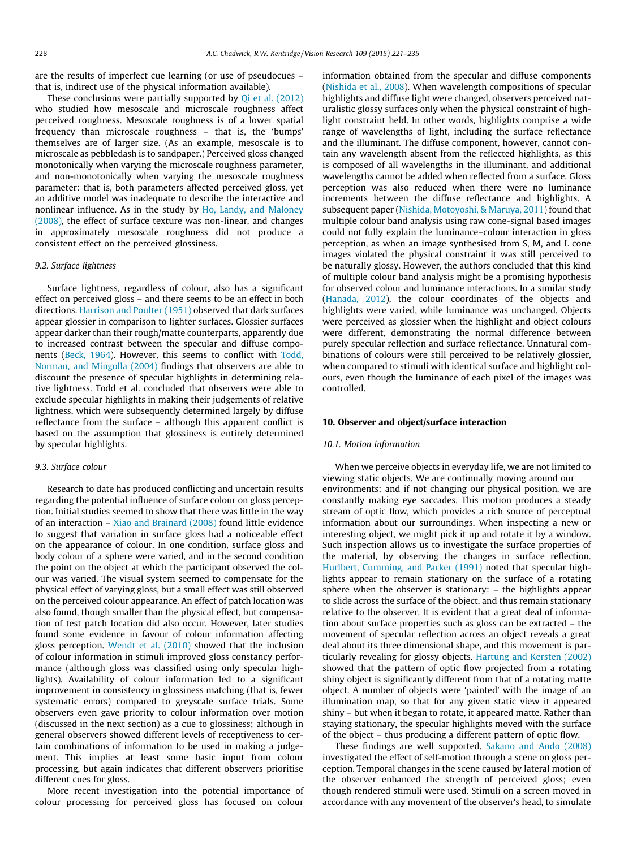are the results of imperfect cue learning (or use of pseudocues – that is, indirect use of the physical information available).

These conclusions were partially supported by [Qi et al. \(2012\)](#page-14-0) who studied how mesoscale and microscale roughness affect perceived roughness. Mesoscale roughness is of a lower spatial frequency than microscale roughness – that is, the 'bumps' themselves are of larger size. (As an example, mesoscale is to microscale as pebbledash is to sandpaper.) Perceived gloss changed monotonically when varying the microscale roughness parameter, and non-monotonically when varying the mesoscale roughness parameter: that is, both parameters affected perceived gloss, yet an additive model was inadequate to describe the interactive and nonlinear influence. As in the study by [Ho, Landy, and Maloney](#page-13-0) [\(2008\),](#page-13-0) the effect of surface texture was non-linear, and changes in approximately mesoscale roughness did not produce a consistent effect on the perceived glossiness.

## 9.2. Surface lightness

Surface lightness, regardless of colour, also has a significant effect on perceived gloss – and there seems to be an effect in both directions. [Harrison and Poulter \(1951\)](#page-13-0) observed that dark surfaces appear glossier in comparison to lighter surfaces. Glossier surfaces appear darker than their rough/matte counterparts, apparently due to increased contrast between the specular and diffuse components ([Beck, 1964](#page-13-0)). However, this seems to conflict with [Todd,](#page-14-0) [Norman, and Mingolla \(2004\)](#page-14-0) findings that observers are able to discount the presence of specular highlights in determining relative lightness. Todd et al. concluded that observers were able to exclude specular highlights in making their judgements of relative lightness, which were subsequently determined largely by diffuse reflectance from the surface – although this apparent conflict is based on the assumption that glossiness is entirely determined by specular highlights.

# 9.3. Surface colour

Research to date has produced conflicting and uncertain results regarding the potential influence of surface colour on gloss perception. Initial studies seemed to show that there was little in the way of an interaction – [Xiao and Brainard \(2008\)](#page-14-0) found little evidence to suggest that variation in surface gloss had a noticeable effect on the appearance of colour. In one condition, surface gloss and body colour of a sphere were varied, and in the second condition the point on the object at which the participant observed the colour was varied. The visual system seemed to compensate for the physical effect of varying gloss, but a small effect was still observed on the perceived colour appearance. An effect of patch location was also found, though smaller than the physical effect, but compensation of test patch location did also occur. However, later studies found some evidence in favour of colour information affecting gloss perception. [Wendt et al. \(2010\)](#page-14-0) showed that the inclusion of colour information in stimuli improved gloss constancy performance (although gloss was classified using only specular highlights). Availability of colour information led to a significant improvement in consistency in glossiness matching (that is, fewer systematic errors) compared to greyscale surface trials. Some observers even gave priority to colour information over motion (discussed in the next section) as a cue to glossiness; although in general observers showed different levels of receptiveness to certain combinations of information to be used in making a judgement. This implies at least some basic input from colour processing, but again indicates that different observers prioritise different cues for gloss.

More recent investigation into the potential importance of colour processing for perceived gloss has focused on colour information obtained from the specular and diffuse components ([Nishida et al., 2008](#page-14-0)). When wavelength compositions of specular highlights and diffuse light were changed, observers perceived naturalistic glossy surfaces only when the physical constraint of highlight constraint held. In other words, highlights comprise a wide range of wavelengths of light, including the surface reflectance and the illuminant. The diffuse component, however, cannot contain any wavelength absent from the reflected highlights, as this is composed of all wavelengths in the illuminant, and additional wavelengths cannot be added when reflected from a surface. Gloss perception was also reduced when there were no luminance increments between the diffuse reflectance and highlights. A subsequent paper [\(Nishida, Motoyoshi, & Maruya, 2011\)](#page-14-0) found that multiple colour band analysis using raw cone-signal based images could not fully explain the luminance–colour interaction in gloss perception, as when an image synthesised from S, M, and L cone images violated the physical constraint it was still perceived to be naturally glossy. However, the authors concluded that this kind of multiple colour band analysis might be a promising hypothesis for observed colour and luminance interactions. In a similar study ([Hanada, 2012\)](#page-13-0), the colour coordinates of the objects and highlights were varied, while luminance was unchanged. Objects were perceived as glossier when the highlight and object colours were different, demonstrating the normal difference between purely specular reflection and surface reflectance. Unnatural combinations of colours were still perceived to be relatively glossier, when compared to stimuli with identical surface and highlight colours, even though the luminance of each pixel of the images was controlled.

# 10. Observer and object/surface interaction

#### 10.1. Motion information

When we perceive objects in everyday life, we are not limited to viewing static objects. We are continually moving around our environments; and if not changing our physical position, we are constantly making eye saccades. This motion produces a steady stream of optic flow, which provides a rich source of perceptual information about our surroundings. When inspecting a new or interesting object, we might pick it up and rotate it by a window. Such inspection allows us to investigate the surface properties of the material, by observing the changes in surface reflection. [Hurlbert, Cumming, and Parker \(1991\)](#page-13-0) noted that specular highlights appear to remain stationary on the surface of a rotating sphere when the observer is stationary: – the highlights appear to slide across the surface of the object, and thus remain stationary relative to the observer. It is evident that a great deal of information about surface properties such as gloss can be extracted – the movement of specular reflection across an object reveals a great deal about its three dimensional shape, and this movement is particularly revealing for glossy objects. [Hartung and Kersten \(2002\)](#page-13-0) showed that the pattern of optic flow projected from a rotating shiny object is significantly different from that of a rotating matte object. A number of objects were 'painted' with the image of an illumination map, so that for any given static view it appeared shiny – but when it began to rotate, it appeared matte. Rather than staying stationary, the specular highlights moved with the surface of the object – thus producing a different pattern of optic flow.

These findings are well supported. [Sakano and Ando \(2008\)](#page-14-0) investigated the effect of self-motion through a scene on gloss perception. Temporal changes in the scene caused by lateral motion of the observer enhanced the strength of perceived gloss; even though rendered stimuli were used. Stimuli on a screen moved in accordance with any movement of the observer's head, to simulate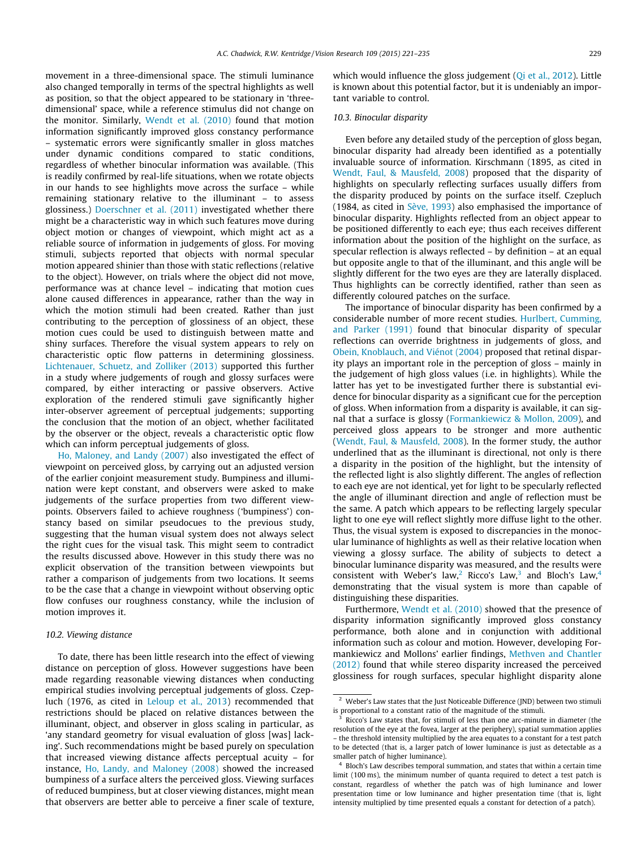movement in a three-dimensional space. The stimuli luminance also changed temporally in terms of the spectral highlights as well as position, so that the object appeared to be stationary in 'threedimensional' space, while a reference stimulus did not change on the monitor. Similarly, [Wendt et al. \(2010\)](#page-14-0) found that motion information significantly improved gloss constancy performance – systematic errors were significantly smaller in gloss matches under dynamic conditions compared to static conditions, regardless of whether binocular information was available. (This is readily confirmed by real-life situations, when we rotate objects in our hands to see highlights move across the surface – while remaining stationary relative to the illuminant – to assess glossiness.) [Doerschner et al. \(2011\)](#page-13-0) investigated whether there might be a characteristic way in which such features move during object motion or changes of viewpoint, which might act as a reliable source of information in judgements of gloss. For moving stimuli, subjects reported that objects with normal specular motion appeared shinier than those with static reflections (relative to the object). However, on trials where the object did not move, performance was at chance level – indicating that motion cues alone caused differences in appearance, rather than the way in which the motion stimuli had been created. Rather than just contributing to the perception of glossiness of an object, these motion cues could be used to distinguish between matte and shiny surfaces. Therefore the visual system appears to rely on characteristic optic flow patterns in determining glossiness. [Lichtenauer, Schuetz, and Zolliker \(2013\)](#page-14-0) supported this further in a study where judgements of rough and glossy surfaces were compared, by either interacting or passive observers. Active exploration of the rendered stimuli gave significantly higher inter-observer agreement of perceptual judgements; supporting the conclusion that the motion of an object, whether facilitated by the observer or the object, reveals a characteristic optic flow which can inform perceptual judgements of gloss.

[Ho, Maloney, and Landy \(2007\)](#page-13-0) also investigated the effect of viewpoint on perceived gloss, by carrying out an adjusted version of the earlier conjoint measurement study. Bumpiness and illumination were kept constant, and observers were asked to make judgements of the surface properties from two different viewpoints. Observers failed to achieve roughness ('bumpiness') constancy based on similar pseudocues to the previous study, suggesting that the human visual system does not always select the right cues for the visual task. This might seem to contradict the results discussed above. However in this study there was no explicit observation of the transition between viewpoints but rather a comparison of judgements from two locations. It seems to be the case that a change in viewpoint without observing optic flow confuses our roughness constancy, while the inclusion of motion improves it.

#### 10.2. Viewing distance

To date, there has been little research into the effect of viewing distance on perception of gloss. However suggestions have been made regarding reasonable viewing distances when conducting empirical studies involving perceptual judgements of gloss. Czepluch (1976, as cited in [Leloup et al., 2013](#page-14-0)) recommended that restrictions should be placed on relative distances between the illuminant, object, and observer in gloss scaling in particular, as 'any standard geometry for visual evaluation of gloss [was] lacking'. Such recommendations might be based purely on speculation that increased viewing distance affects perceptual acuity – for instance, [Ho, Landy, and Maloney \(2008\)](#page-13-0) showed the increased bumpiness of a surface alters the perceived gloss. Viewing surfaces of reduced bumpiness, but at closer viewing distances, might mean that observers are better able to perceive a finer scale of texture, which would influence the gloss judgement [\(Qi et al., 2012\)](#page-14-0). Little is known about this potential factor, but it is undeniably an important variable to control.

# 10.3. Binocular disparity

Even before any detailed study of the perception of gloss began, binocular disparity had already been identified as a potentially invaluable source of information. Kirschmann (1895, as cited in [Wendt, Faul, & Mausfeld, 2008](#page-14-0)) proposed that the disparity of highlights on specularly reflecting surfaces usually differs from the disparity produced by points on the surface itself. Czepluch (1984, as cited in [Sève, 1993](#page-14-0)) also emphasised the importance of binocular disparity. Highlights reflected from an object appear to be positioned differently to each eye; thus each receives different information about the position of the highlight on the surface, as specular reflection is always reflected – by definition – at an equal but opposite angle to that of the illuminant, and this angle will be slightly different for the two eyes are they are laterally displaced. Thus highlights can be correctly identified, rather than seen as differently coloured patches on the surface.

The importance of binocular disparity has been confirmed by a considerable number of more recent studies. [Hurlbert, Cumming,](#page-13-0) [and Parker \(1991\)](#page-13-0) found that binocular disparity of specular reflections can override brightness in judgements of gloss, and [Obein, Knoblauch, and Viénot \(2004\)](#page-14-0) proposed that retinal disparity plays an important role in the perception of gloss – mainly in the judgement of high gloss values (i.e. in highlights). While the latter has yet to be investigated further there is substantial evidence for binocular disparity as a significant cue for the perception of gloss. When information from a disparity is available, it can signal that a surface is glossy ([Formankiewicz & Mollon, 2009\)](#page-13-0), and perceived gloss appears to be stronger and more authentic ([Wendt, Faul, & Mausfeld, 2008](#page-14-0)). In the former study, the author underlined that as the illuminant is directional, not only is there a disparity in the position of the highlight, but the intensity of the reflected light is also slightly different. The angles of reflection to each eye are not identical, yet for light to be specularly reflected the angle of illuminant direction and angle of reflection must be the same. A patch which appears to be reflecting largely specular light to one eye will reflect slightly more diffuse light to the other. Thus, the visual system is exposed to discrepancies in the monocular luminance of highlights as well as their relative location when viewing a glossy surface. The ability of subjects to detect a binocular luminance disparity was measured, and the results were consistent with Weber's law,<sup>2</sup> Ricco's Law,<sup>3</sup> and Bloch's Law,<sup>4</sup> demonstrating that the visual system is more than capable of distinguishing these disparities.

Furthermore, [Wendt et al. \(2010\)](#page-14-0) showed that the presence of disparity information significantly improved gloss constancy performance, both alone and in conjunction with additional information such as colour and motion. However, developing Formankiewicz and Mollons' earlier findings, [Methven and Chantler](#page-14-0) [\(2012\)](#page-14-0) found that while stereo disparity increased the perceived glossiness for rough surfaces, specular highlight disparity alone

 $2$  Weber's Law states that the Just Noticeable Difference (JND) between two stimuli is proportional to a constant ratio of the magnitude of the stimuli.

Ricco's Law states that, for stimuli of less than one arc-minute in diameter (the resolution of the eye at the fovea, larger at the periphery), spatial summation applies – the threshold intensity multiplied by the area equates to a constant for a test patch to be detected (that is, a larger patch of lower luminance is just as detectable as a smaller patch of higher luminance).

 $4$  Bloch's Law describes temporal summation, and states that within a certain time limit (100 ms), the minimum number of quanta required to detect a test patch is constant, regardless of whether the patch was of high luminance and lower presentation time or low luminance and higher presentation time (that is, light intensity multiplied by time presented equals a constant for detection of a patch).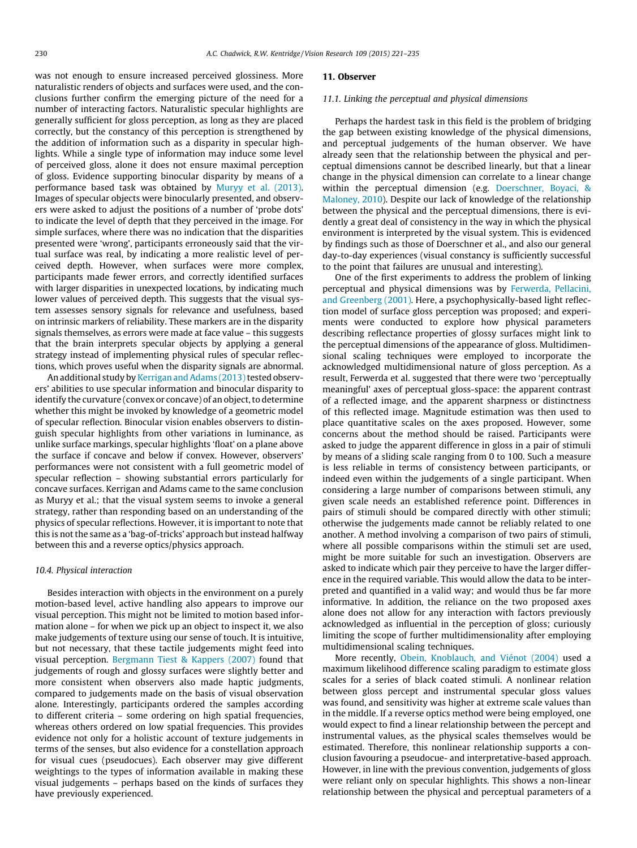was not enough to ensure increased perceived glossiness. More naturalistic renders of objects and surfaces were used, and the conclusions further confirm the emerging picture of the need for a number of interacting factors. Naturalistic specular highlights are generally sufficient for gloss perception, as long as they are placed correctly, but the constancy of this perception is strengthened by the addition of information such as a disparity in specular highlights. While a single type of information may induce some level of perceived gloss, alone it does not ensure maximal perception of gloss. Evidence supporting binocular disparity by means of a performance based task was obtained by [Muryy et al. \(2013\).](#page-14-0) Images of specular objects were binocularly presented, and observers were asked to adjust the positions of a number of 'probe dots' to indicate the level of depth that they perceived in the image. For simple surfaces, where there was no indication that the disparities presented were 'wrong', participants erroneously said that the virtual surface was real, by indicating a more realistic level of perceived depth. However, when surfaces were more complex, participants made fewer errors, and correctly identified surfaces with larger disparities in unexpected locations, by indicating much lower values of perceived depth. This suggests that the visual system assesses sensory signals for relevance and usefulness, based on intrinsic markers of reliability. These markers are in the disparity signals themselves, as errors were made at face value – this suggests that the brain interprets specular objects by applying a general strategy instead of implementing physical rules of specular reflections, which proves useful when the disparity signals are abnormal.

An additional study by [Kerrigan and Adams \(2013\)](#page-13-0) tested observers' abilities to use specular information and binocular disparity to identify the curvature (convex or concave) of an object, to determine whether this might be invoked by knowledge of a geometric model of specular reflection. Binocular vision enables observers to distinguish specular highlights from other variations in luminance, as unlike surface markings, specular highlights 'float' on a plane above the surface if concave and below if convex. However, observers' performances were not consistent with a full geometric model of specular reflection – showing substantial errors particularly for concave surfaces. Kerrigan and Adams came to the same conclusion as Muryy et al.; that the visual system seems to invoke a general strategy, rather than responding based on an understanding of the physics of specular reflections. However, it is important to note that this is not the same as a 'bag-of-tricks' approach but instead halfway between this and a reverse optics/physics approach.

# 10.4. Physical interaction

Besides interaction with objects in the environment on a purely motion-based level, active handling also appears to improve our visual perception. This might not be limited to motion based information alone – for when we pick up an object to inspect it, we also make judgements of texture using our sense of touch. It is intuitive, but not necessary, that these tactile judgements might feed into visual perception. [Bergmann Tiest & Kappers \(2007\)](#page-13-0) found that judgements of rough and glossy surfaces were slightly better and more consistent when observers also made haptic judgments, compared to judgements made on the basis of visual observation alone. Interestingly, participants ordered the samples according to different criteria – some ordering on high spatial frequencies, whereas others ordered on low spatial frequencies. This provides evidence not only for a holistic account of texture judgements in terms of the senses, but also evidence for a constellation approach for visual cues (pseudocues). Each observer may give different weightings to the types of information available in making these visual judgements – perhaps based on the kinds of surfaces they have previously experienced.

# 11. Observer

#### 11.1. Linking the perceptual and physical dimensions

Perhaps the hardest task in this field is the problem of bridging the gap between existing knowledge of the physical dimensions, and perceptual judgements of the human observer. We have already seen that the relationship between the physical and perceptual dimensions cannot be described linearly, but that a linear change in the physical dimension can correlate to a linear change within the perceptual dimension (e.g. [Doerschner, Boyaci, &](#page-13-0) [Maloney, 2010\)](#page-13-0). Despite our lack of knowledge of the relationship between the physical and the perceptual dimensions, there is evidently a great deal of consistency in the way in which the physical environment is interpreted by the visual system. This is evidenced by findings such as those of Doerschner et al., and also our general day-to-day experiences (visual constancy is sufficiently successful to the point that failures are unusual and interesting).

One of the first experiments to address the problem of linking perceptual and physical dimensions was by [Ferwerda, Pellacini,](#page-13-0) [and Greenberg \(2001\)](#page-13-0). Here, a psychophysically-based light reflection model of surface gloss perception was proposed; and experiments were conducted to explore how physical parameters describing reflectance properties of glossy surfaces might link to the perceptual dimensions of the appearance of gloss. Multidimensional scaling techniques were employed to incorporate the acknowledged multidimensional nature of gloss perception. As a result, Ferwerda et al. suggested that there were two 'perceptually meaningful' axes of perceptual gloss-space: the apparent contrast of a reflected image, and the apparent sharpness or distinctness of this reflected image. Magnitude estimation was then used to place quantitative scales on the axes proposed. However, some concerns about the method should be raised. Participants were asked to judge the apparent difference in gloss in a pair of stimuli by means of a sliding scale ranging from 0 to 100. Such a measure is less reliable in terms of consistency between participants, or indeed even within the judgements of a single participant. When considering a large number of comparisons between stimuli, any given scale needs an established reference point. Differences in pairs of stimuli should be compared directly with other stimuli; otherwise the judgements made cannot be reliably related to one another. A method involving a comparison of two pairs of stimuli, where all possible comparisons within the stimuli set are used, might be more suitable for such an investigation. Observers are asked to indicate which pair they perceive to have the larger difference in the required variable. This would allow the data to be interpreted and quantified in a valid way; and would thus be far more informative. In addition, the reliance on the two proposed axes alone does not allow for any interaction with factors previously acknowledged as influential in the perception of gloss; curiously limiting the scope of further multidimensionality after employing multidimensional scaling techniques.

More recently, [Obein, Knoblauch, and Viénot \(2004\)](#page-14-0) used a maximum likelihood difference scaling paradigm to estimate gloss scales for a series of black coated stimuli. A nonlinear relation between gloss percept and instrumental specular gloss values was found, and sensitivity was higher at extreme scale values than in the middle. If a reverse optics method were being employed, one would expect to find a linear relationship between the percept and instrumental values, as the physical scales themselves would be estimated. Therefore, this nonlinear relationship supports a conclusion favouring a pseudocue- and interpretative-based approach. However, in line with the previous convention, judgements of gloss were reliant only on specular highlights. This shows a non-linear relationship between the physical and perceptual parameters of a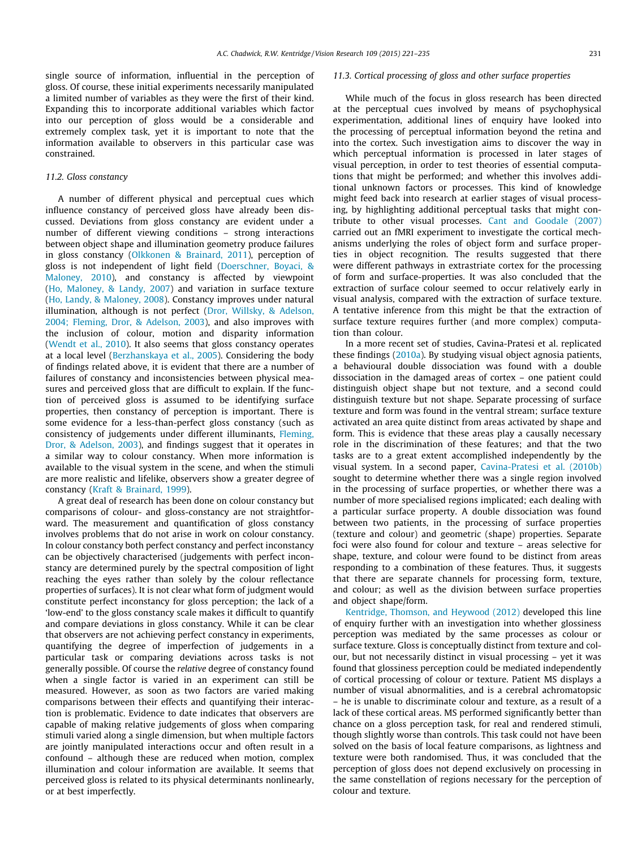single source of information, influential in the perception of gloss. Of course, these initial experiments necessarily manipulated a limited number of variables as they were the first of their kind. Expanding this to incorporate additional variables which factor into our perception of gloss would be a considerable and extremely complex task, yet it is important to note that the information available to observers in this particular case was constrained.

#### 11.2. Gloss constancy

A number of different physical and perceptual cues which influence constancy of perceived gloss have already been discussed. Deviations from gloss constancy are evident under a number of different viewing conditions – strong interactions between object shape and illumination geometry produce failures in gloss constancy [\(Olkkonen & Brainard, 2011\)](#page-14-0), perception of gloss is not independent of light field ([Doerschner, Boyaci, &](#page-13-0) [Maloney, 2010](#page-13-0)), and constancy is affected by viewpoint ([Ho, Maloney, & Landy, 2007](#page-13-0)) and variation in surface texture ([Ho, Landy, & Maloney, 2008\)](#page-13-0). Constancy improves under natural illumination, although is not perfect ([Dror, Willsky, & Adelson,](#page-13-0) [2004; Fleming, Dror, & Adelson, 2003\)](#page-13-0), and also improves with the inclusion of colour, motion and disparity information ([Wendt et al., 2010\)](#page-14-0). It also seems that gloss constancy operates at a local level [\(Berzhanskaya et al., 2005](#page-13-0)). Considering the body of findings related above, it is evident that there are a number of failures of constancy and inconsistencies between physical measures and perceived gloss that are difficult to explain. If the function of perceived gloss is assumed to be identifying surface properties, then constancy of perception is important. There is some evidence for a less-than-perfect gloss constancy (such as consistency of judgements under different illuminants, [Fleming,](#page-13-0) [Dror, & Adelson, 2003](#page-13-0)), and findings suggest that it operates in a similar way to colour constancy. When more information is available to the visual system in the scene, and when the stimuli are more realistic and lifelike, observers show a greater degree of constancy ([Kraft & Brainard, 1999](#page-13-0)).

A great deal of research has been done on colour constancy but comparisons of colour- and gloss-constancy are not straightforward. The measurement and quantification of gloss constancy involves problems that do not arise in work on colour constancy. In colour constancy both perfect constancy and perfect inconstancy can be objectively characterised (judgements with perfect inconstancy are determined purely by the spectral composition of light reaching the eyes rather than solely by the colour reflectance properties of surfaces). It is not clear what form of judgment would constitute perfect inconstancy for gloss perception; the lack of a 'low-end' to the gloss constancy scale makes it difficult to quantify and compare deviations in gloss constancy. While it can be clear that observers are not achieving perfect constancy in experiments, quantifying the degree of imperfection of judgements in a particular task or comparing deviations across tasks is not generally possible. Of course the relative degree of constancy found when a single factor is varied in an experiment can still be measured. However, as soon as two factors are varied making comparisons between their effects and quantifying their interaction is problematic. Evidence to date indicates that observers are capable of making relative judgements of gloss when comparing stimuli varied along a single dimension, but when multiple factors are jointly manipulated interactions occur and often result in a confound – although these are reduced when motion, complex illumination and colour information are available. It seems that perceived gloss is related to its physical determinants nonlinearly, or at best imperfectly.

#### 11.3. Cortical processing of gloss and other surface properties

While much of the focus in gloss research has been directed at the perceptual cues involved by means of psychophysical experimentation, additional lines of enquiry have looked into the processing of perceptual information beyond the retina and into the cortex. Such investigation aims to discover the way in which perceptual information is processed in later stages of visual perception, in order to test theories of essential computations that might be performed; and whether this involves additional unknown factors or processes. This kind of knowledge might feed back into research at earlier stages of visual processing, by highlighting additional perceptual tasks that might contribute to other visual processes. [Cant and Goodale \(2007\)](#page-13-0) carried out an fMRI experiment to investigate the cortical mechanisms underlying the roles of object form and surface properties in object recognition. The results suggested that there were different pathways in extrastriate cortex for the processing of form and surface-properties. It was also concluded that the extraction of surface colour seemed to occur relatively early in visual analysis, compared with the extraction of surface texture. A tentative inference from this might be that the extraction of surface texture requires further (and more complex) computation than colour.

In a more recent set of studies, Cavina-Pratesi et al. replicated these findings [\(2010a](#page-13-0)). By studying visual object agnosia patients, a behavioural double dissociation was found with a double dissociation in the damaged areas of cortex – one patient could distinguish object shape but not texture, and a second could distinguish texture but not shape. Separate processing of surface texture and form was found in the ventral stream; surface texture activated an area quite distinct from areas activated by shape and form. This is evidence that these areas play a causally necessary role in the discrimination of these features; and that the two tasks are to a great extent accomplished independently by the visual system. In a second paper, [Cavina-Pratesi et al. \(2010b\)](#page-13-0) sought to determine whether there was a single region involved in the processing of surface properties, or whether there was a number of more specialised regions implicated; each dealing with a particular surface property. A double dissociation was found between two patients, in the processing of surface properties (texture and colour) and geometric (shape) properties. Separate foci were also found for colour and texture – areas selective for shape, texture, and colour were found to be distinct from areas responding to a combination of these features. Thus, it suggests that there are separate channels for processing form, texture, and colour; as well as the division between surface properties and object shape/form.

[Kentridge, Thomson, and Heywood \(2012\)](#page-13-0) developed this line of enquiry further with an investigation into whether glossiness perception was mediated by the same processes as colour or surface texture. Gloss is conceptually distinct from texture and colour, but not necessarily distinct in visual processing – yet it was found that glossiness perception could be mediated independently of cortical processing of colour or texture. Patient MS displays a number of visual abnormalities, and is a cerebral achromatopsic – he is unable to discriminate colour and texture, as a result of a lack of these cortical areas. MS performed significantly better than chance on a gloss perception task, for real and rendered stimuli, though slightly worse than controls. This task could not have been solved on the basis of local feature comparisons, as lightness and texture were both randomised. Thus, it was concluded that the perception of gloss does not depend exclusively on processing in the same constellation of regions necessary for the perception of colour and texture.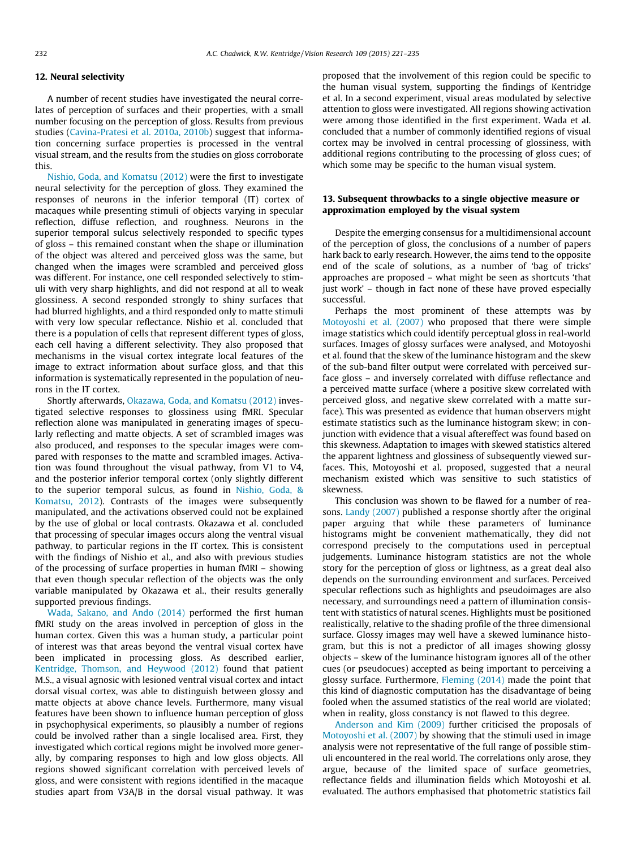# 12. Neural selectivity

A number of recent studies have investigated the neural correlates of perception of surfaces and their properties, with a small number focusing on the perception of gloss. Results from previous studies [\(Cavina-Pratesi et al. 2010a, 2010b](#page-13-0)) suggest that information concerning surface properties is processed in the ventral visual stream, and the results from the studies on gloss corroborate this.

[Nishio, Goda, and Komatsu \(2012\)](#page-14-0) were the first to investigate neural selectivity for the perception of gloss. They examined the responses of neurons in the inferior temporal (IT) cortex of macaques while presenting stimuli of objects varying in specular reflection, diffuse reflection, and roughness. Neurons in the superior temporal sulcus selectively responded to specific types of gloss – this remained constant when the shape or illumination of the object was altered and perceived gloss was the same, but changed when the images were scrambled and perceived gloss was different. For instance, one cell responded selectively to stimuli with very sharp highlights, and did not respond at all to weak glossiness. A second responded strongly to shiny surfaces that had blurred highlights, and a third responded only to matte stimuli with very low specular reflectance. Nishio et al. concluded that there is a population of cells that represent different types of gloss, each cell having a different selectivity. They also proposed that mechanisms in the visual cortex integrate local features of the image to extract information about surface gloss, and that this information is systematically represented in the population of neurons in the IT cortex.

Shortly afterwards, [Okazawa, Goda, and Komatsu \(2012\)](#page-14-0) investigated selective responses to glossiness using fMRI. Specular reflection alone was manipulated in generating images of specularly reflecting and matte objects. A set of scrambled images was also produced, and responses to the specular images were compared with responses to the matte and scrambled images. Activation was found throughout the visual pathway, from V1 to V4, and the posterior inferior temporal cortex (only slightly different to the superior temporal sulcus, as found in [Nishio, Goda, &](#page-14-0) [Komatsu, 2012\)](#page-14-0). Contrasts of the images were subsequently manipulated, and the activations observed could not be explained by the use of global or local contrasts. Okazawa et al. concluded that processing of specular images occurs along the ventral visual pathway, to particular regions in the IT cortex. This is consistent with the findings of Nishio et al., and also with previous studies of the processing of surface properties in human fMRI – showing that even though specular reflection of the objects was the only variable manipulated by Okazawa et al., their results generally supported previous findings.

[Wada, Sakano, and Ando \(2014\)](#page-14-0) performed the first human fMRI study on the areas involved in perception of gloss in the human cortex. Given this was a human study, a particular point of interest was that areas beyond the ventral visual cortex have been implicated in processing gloss. As described earlier, [Kentridge, Thomson, and Heywood \(2012\)](#page-13-0) found that patient M.S., a visual agnosic with lesioned ventral visual cortex and intact dorsal visual cortex, was able to distinguish between glossy and matte objects at above chance levels. Furthermore, many visual features have been shown to influence human perception of gloss in psychophysical experiments, so plausibly a number of regions could be involved rather than a single localised area. First, they investigated which cortical regions might be involved more generally, by comparing responses to high and low gloss objects. All regions showed significant correlation with perceived levels of gloss, and were consistent with regions identified in the macaque studies apart from V3A/B in the dorsal visual pathway. It was

proposed that the involvement of this region could be specific to the human visual system, supporting the findings of Kentridge et al. In a second experiment, visual areas modulated by selective attention to gloss were investigated. All regions showing activation were among those identified in the first experiment. Wada et al. concluded that a number of commonly identified regions of visual cortex may be involved in central processing of glossiness, with additional regions contributing to the processing of gloss cues; of which some may be specific to the human visual system.

# 13. Subsequent throwbacks to a single objective measure or approximation employed by the visual system

Despite the emerging consensus for a multidimensional account of the perception of gloss, the conclusions of a number of papers hark back to early research. However, the aims tend to the opposite end of the scale of solutions, as a number of 'bag of tricks' approaches are proposed – what might be seen as shortcuts 'that just work' – though in fact none of these have proved especially successful.

Perhaps the most prominent of these attempts was by [Motoyoshi et al. \(2007\)](#page-14-0) who proposed that there were simple image statistics which could identify perceptual gloss in real-world surfaces. Images of glossy surfaces were analysed, and Motoyoshi et al. found that the skew of the luminance histogram and the skew of the sub-band filter output were correlated with perceived surface gloss – and inversely correlated with diffuse reflectance and a perceived matte surface (where a positive skew correlated with perceived gloss, and negative skew correlated with a matte surface). This was presented as evidence that human observers might estimate statistics such as the luminance histogram skew; in conjunction with evidence that a visual aftereffect was found based on this skewness. Adaptation to images with skewed statistics altered the apparent lightness and glossiness of subsequently viewed surfaces. This, Motoyoshi et al. proposed, suggested that a neural mechanism existed which was sensitive to such statistics of skewness.

This conclusion was shown to be flawed for a number of reasons. [Landy \(2007\)](#page-13-0) published a response shortly after the original paper arguing that while these parameters of luminance histograms might be convenient mathematically, they did not correspond precisely to the computations used in perceptual judgements. Luminance histogram statistics are not the whole story for the perception of gloss or lightness, as a great deal also depends on the surrounding environment and surfaces. Perceived specular reflections such as highlights and pseudoimages are also necessary, and surroundings need a pattern of illumination consistent with statistics of natural scenes. Highlights must be positioned realistically, relative to the shading profile of the three dimensional surface. Glossy images may well have a skewed luminance histogram, but this is not a predictor of all images showing glossy objects – skew of the luminance histogram ignores all of the other cues (or pseudocues) accepted as being important to perceiving a glossy surface. Furthermore, [Fleming \(2014\)](#page-13-0) made the point that this kind of diagnostic computation has the disadvantage of being fooled when the assumed statistics of the real world are violated; when in reality, gloss constancy is not flawed to this degree.

[Anderson and Kim \(2009\)](#page-13-0) further criticised the proposals of [Motoyoshi et al. \(2007\)](#page-14-0) by showing that the stimuli used in image analysis were not representative of the full range of possible stimuli encountered in the real world. The correlations only arose, they argue, because of the limited space of surface geometries, reflectance fields and illumination fields which Motoyoshi et al. evaluated. The authors emphasised that photometric statistics fail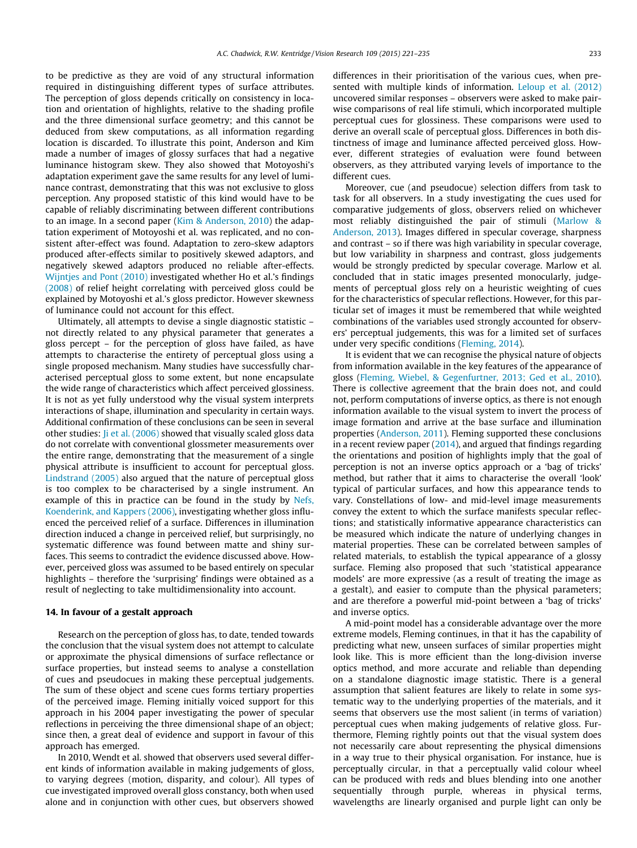to be predictive as they are void of any structural information required in distinguishing different types of surface attributes. The perception of gloss depends critically on consistency in location and orientation of highlights, relative to the shading profile and the three dimensional surface geometry; and this cannot be deduced from skew computations, as all information regarding location is discarded. To illustrate this point, Anderson and Kim made a number of images of glossy surfaces that had a negative luminance histogram skew. They also showed that Motoyoshi's adaptation experiment gave the same results for any level of luminance contrast, demonstrating that this was not exclusive to gloss perception. Any proposed statistic of this kind would have to be capable of reliably discriminating between different contributions to an image. In a second paper ([Kim & Anderson, 2010](#page-13-0)) the adaptation experiment of Motoyoshi et al. was replicated, and no consistent after-effect was found. Adaptation to zero-skew adaptors produced after-effects similar to positively skewed adaptors, and negatively skewed adaptors produced no reliable after-effects. [Wijntjes and Pont \(2010\)](#page-14-0) investigated whether Ho et al.'s findings [\(2008\)](#page-13-0) of relief height correlating with perceived gloss could be explained by Motoyoshi et al.'s gloss predictor. However skewness of luminance could not account for this effect.

Ultimately, all attempts to devise a single diagnostic statistic – not directly related to any physical parameter that generates a gloss percept – for the perception of gloss have failed, as have attempts to characterise the entirety of perceptual gloss using a single proposed mechanism. Many studies have successfully characterised perceptual gloss to some extent, but none encapsulate the wide range of characteristics which affect perceived glossiness. It is not as yet fully understood why the visual system interprets interactions of shape, illumination and specularity in certain ways. Additional confirmation of these conclusions can be seen in several other studies: [Ji et al. \(2006\)](#page-13-0) showed that visually scaled gloss data do not correlate with conventional glossmeter measurements over the entire range, demonstrating that the measurement of a single physical attribute is insufficient to account for perceptual gloss. [Lindstrand \(2005\)](#page-14-0) also argued that the nature of perceptual gloss is too complex to be characterised by a single instrument. An example of this in practice can be found in the study by [Nefs,](#page-14-0) [Koenderink, and Kappers \(2006\)](#page-14-0), investigating whether gloss influenced the perceived relief of a surface. Differences in illumination direction induced a change in perceived relief, but surprisingly, no systematic difference was found between matte and shiny surfaces. This seems to contradict the evidence discussed above. However, perceived gloss was assumed to be based entirely on specular highlights – therefore the 'surprising' findings were obtained as a result of neglecting to take multidimensionality into account.

#### 14. In favour of a gestalt approach

Research on the perception of gloss has, to date, tended towards the conclusion that the visual system does not attempt to calculate or approximate the physical dimensions of surface reflectance or surface properties, but instead seems to analyse a constellation of cues and pseudocues in making these perceptual judgements. The sum of these object and scene cues forms tertiary properties of the perceived image. Fleming initially voiced support for this approach in his 2004 paper investigating the power of specular reflections in perceiving the three dimensional shape of an object; since then, a great deal of evidence and support in favour of this approach has emerged.

In 2010, Wendt et al. showed that observers used several different kinds of information available in making judgements of gloss, to varying degrees (motion, disparity, and colour). All types of cue investigated improved overall gloss constancy, both when used alone and in conjunction with other cues, but observers showed differences in their prioritisation of the various cues, when presented with multiple kinds of information. [Leloup et al. \(2012\)](#page-14-0) uncovered similar responses – observers were asked to make pairwise comparisons of real life stimuli, which incorporated multiple perceptual cues for glossiness. These comparisons were used to derive an overall scale of perceptual gloss. Differences in both distinctness of image and luminance affected perceived gloss. However, different strategies of evaluation were found between observers, as they attributed varying levels of importance to the different cues.

Moreover, cue (and pseudocue) selection differs from task to task for all observers. In a study investigating the cues used for comparative judgements of gloss, observers relied on whichever most reliably distinguished the pair of stimuli ([Marlow &](#page-14-0) [Anderson, 2013](#page-14-0)). Images differed in specular coverage, sharpness and contrast – so if there was high variability in specular coverage, but low variability in sharpness and contrast, gloss judgements would be strongly predicted by specular coverage. Marlow et al. concluded that in static images presented monocularly, judgements of perceptual gloss rely on a heuristic weighting of cues for the characteristics of specular reflections. However, for this particular set of images it must be remembered that while weighted combinations of the variables used strongly accounted for observers' perceptual judgements, this was for a limited set of surfaces under very specific conditions ([Fleming, 2014](#page-13-0)).

It is evident that we can recognise the physical nature of objects from information available in the key features of the appearance of gloss ([Fleming, Wiebel, & Gegenfurtner, 2013; Ged et al., 2010\)](#page-13-0). There is collective agreement that the brain does not, and could not, perform computations of inverse optics, as there is not enough information available to the visual system to invert the process of image formation and arrive at the base surface and illumination properties ([Anderson, 2011\)](#page-13-0). Fleming supported these conclusions in a recent review paper  $(2014)$  $(2014)$ , and argued that findings regarding the orientations and position of highlights imply that the goal of perception is not an inverse optics approach or a 'bag of tricks' method, but rather that it aims to characterise the overall 'look' typical of particular surfaces, and how this appearance tends to vary. Constellations of low- and mid-level image measurements convey the extent to which the surface manifests specular reflections; and statistically informative appearance characteristics can be measured which indicate the nature of underlying changes in material properties. These can be correlated between samples of related materials, to establish the typical appearance of a glossy surface. Fleming also proposed that such 'statistical appearance models' are more expressive (as a result of treating the image as a gestalt), and easier to compute than the physical parameters; and are therefore a powerful mid-point between a 'bag of tricks' and inverse optics.

A mid-point model has a considerable advantage over the more extreme models, Fleming continues, in that it has the capability of predicting what new, unseen surfaces of similar properties might look like. This is more efficient than the long-division inverse optics method, and more accurate and reliable than depending on a standalone diagnostic image statistic. There is a general assumption that salient features are likely to relate in some systematic way to the underlying properties of the materials, and it seems that observers use the most salient (in terms of variation) perceptual cues when making judgements of relative gloss. Furthermore, Fleming rightly points out that the visual system does not necessarily care about representing the physical dimensions in a way true to their physical organisation. For instance, hue is perceptually circular, in that a perceptually valid colour wheel can be produced with reds and blues blending into one another sequentially through purple, whereas in physical terms, wavelengths are linearly organised and purple light can only be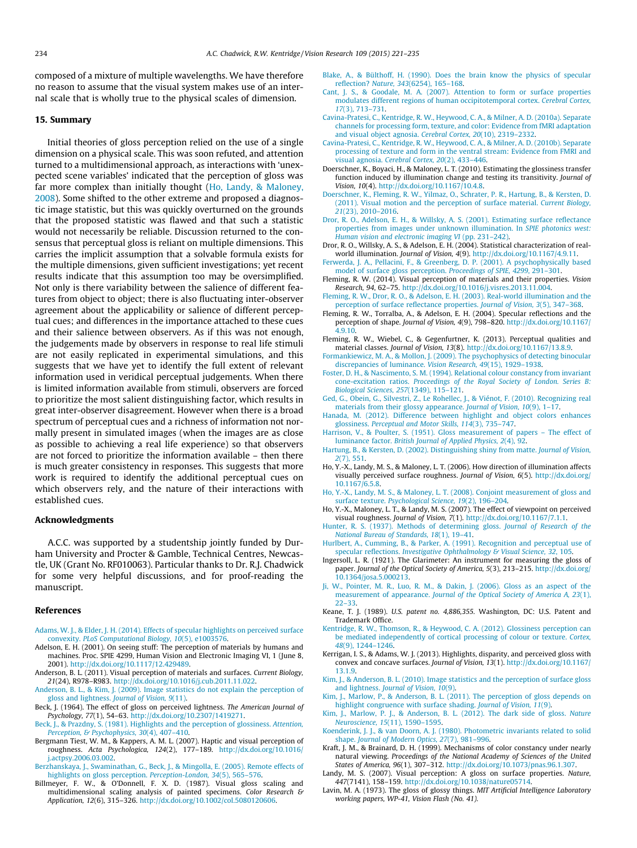<span id="page-13-0"></span>composed of a mixture of multiple wavelengths. We have therefore no reason to assume that the visual system makes use of an internal scale that is wholly true to the physical scales of dimension.

#### 15. Summary

Initial theories of gloss perception relied on the use of a single dimension on a physical scale. This was soon refuted, and attention turned to a multidimensional approach, as interactions with 'unexpected scene variables' indicated that the perception of gloss was far more complex than initially thought (Ho, Landy, & Maloney, 2008). Some shifted to the other extreme and proposed a diagnostic image statistic, but this was quickly overturned on the grounds that the proposed statistic was flawed and that such a statistic would not necessarily be reliable. Discussion returned to the consensus that perceptual gloss is reliant on multiple dimensions. This carries the implicit assumption that a solvable formula exists for the multiple dimensions, given sufficient investigations; yet recent results indicate that this assumption too may be oversimplified. Not only is there variability between the salience of different features from object to object; there is also fluctuating inter-observer agreement about the applicability or salience of different perceptual cues; and differences in the importance attached to these cues and their salience between observers. As if this was not enough, the judgements made by observers in response to real life stimuli are not easily replicated in experimental simulations, and this suggests that we have yet to identify the full extent of relevant information used in veridical perceptual judgements. When there is limited information available from stimuli, observers are forced to prioritize the most salient distinguishing factor, which results in great inter-observer disagreement. However when there is a broad spectrum of perceptual cues and a richness of information not normally present in simulated images (when the images are as close as possible to achieving a real life experience) so that observers are not forced to prioritize the information available – then there is much greater consistency in responses. This suggests that more work is required to identify the additional perceptual cues on which observers rely, and the nature of their interactions with established cues.

#### Acknowledgments

A.C.C. was supported by a studentship jointly funded by Durham University and Procter & Gamble, Technical Centres, Newcastle, UK (Grant No. RF010063). Particular thanks to Dr. R.J. Chadwick for some very helpful discussions, and for proof-reading the manuscript.

#### References

- [Adams, W. J., & Elder, J. H. \(2014\). Effects of specular highlights on perceived surface](http://refhub.elsevier.com/S0042-6989(14)00259-4/h0005) convexity. [PLoS Computational Biology, 10](http://refhub.elsevier.com/S0042-6989(14)00259-4/h0005)(5), e1003576.
- Adelson, E. H. (2001). On seeing stuff: The perception of materials by humans and machines. Proc. SPIE 4299, Human Vision and Electronic Imaging VI, 1 (June 8, 2001). [http://dx.doi.org/10.1117/12.429489.](http://dx.doi.org/10.1117/12.429489)
- Anderson, B. L. (2011). Visual perception of materials and surfaces. Current Biology, 21(24), R978–R983. [http://dx.doi.org/10.1016/j.cub.2011.11.022.](http://dx.doi.org/10.1016/j.cub.2011.11.022)
- [Anderson, B. L., & Kim, J. \(2009\). Image statistics do not explain the perception of](http://refhub.elsevier.com/S0042-6989(14)00259-4/h0020) [gloss and lightness.](http://refhub.elsevier.com/S0042-6989(14)00259-4/h0020) Journal of Vision, 9(11).
- Beck, J. (1964). The effect of gloss on perceived lightness. The American Journal of Psychology, 77(1), 54–63. [http://dx.doi.org/10.2307/1419271.](http://dx.doi.org/10.2307/1419271)
- [Beck, J., & Prazdny, S. \(1981\). Highlights and the perception of glossiness.](http://refhub.elsevier.com/S0042-6989(14)00259-4/h0030) Attention, [Perception, & Psychophysics, 30](http://refhub.elsevier.com/S0042-6989(14)00259-4/h0030)(4), 407–410.
- Bergmann Tiest, W. M., & Kappers, A. M. L. (2007). Haptic and visual perception of roughness. Acta Psychologica, 124(2), 177–189. [http://dx.doi.org/10.1016/](http://dx.doi.org/10.1016/j.actpsy.2006.03.002) [j.actpsy.2006.03.002](http://dx.doi.org/10.1016/j.actpsy.2006.03.002).
- [Berzhanskaya, J., Swaminathan, G., Beck, J., & Mingolla, E. \(2005\). Remote effects of](http://refhub.elsevier.com/S0042-6989(14)00259-4/h0040) [highlights on gloss perception.](http://refhub.elsevier.com/S0042-6989(14)00259-4/h0040) Perception-London, 34(5), 565–576.
- Billmeyer, F. W., & O'Donnell, F. X. D. (1987). Visual gloss scaling and multidimensional scaling analysis of painted specimens. Color Research & Application, 12(6), 315–326. [http://dx.doi.org/10.1002/col.5080120606.](http://dx.doi.org/10.1002/col.5080120606)
- [Blake, A., & Bülthoff, H. \(1990\). Does the brain know the physics of specular](http://refhub.elsevier.com/S0042-6989(14)00259-4/h0050) reflection? Nature, 343[\(6254\), 165–168.](http://refhub.elsevier.com/S0042-6989(14)00259-4/h0050)
- [Cant, J. S., & Goodale, M. A. \(2007\). Attention to form or surface properties](http://refhub.elsevier.com/S0042-6989(14)00259-4/h0055) [modulates different regions of human occipitotemporal cortex.](http://refhub.elsevier.com/S0042-6989(14)00259-4/h0055) Cerebral Cortex, 17[\(3\), 713–731.](http://refhub.elsevier.com/S0042-6989(14)00259-4/h0055)
- [Cavina-Pratesi, C., Kentridge, R. W., Heywood, C. A., & Milner, A. D. \(2010a\). Separate](http://refhub.elsevier.com/S0042-6989(14)00259-4/h0060) [channels for processing form, texture, and color: Evidence from fMRI adaptation](http://refhub.elsevier.com/S0042-6989(14)00259-4/h0060) [and visual object agnosia.](http://refhub.elsevier.com/S0042-6989(14)00259-4/h0060) Cerebral Cortex, 20(10), 2319–2332.
- [Cavina-Pratesi, C., Kentridge, R. W., Heywood, C. A., & Milner, A. D. \(2010b\). Separate](http://refhub.elsevier.com/S0042-6989(14)00259-4/h0065) [processing of texture and form in the ventral stream: Evidence from FMRI and](http://refhub.elsevier.com/S0042-6989(14)00259-4/h0065) visual agnosia. [Cerebral Cortex, 20](http://refhub.elsevier.com/S0042-6989(14)00259-4/h0065)(2), 433–446.
- Doerschner, K., Boyaci, H., & Maloney, L. T. (2010). Estimating the glossiness transfer function induced by illumination change and testing its transitivity. Journal of Vision, 10(4). [http://dx.doi.org/10.1167/10.4.8.](http://dx.doi.org/10.1167/10.4.8)
- [Doerschner, K., Fleming, R. W., Yilmaz, O., Schrater, P. R., Hartung, B., & Kersten, D.](http://refhub.elsevier.com/S0042-6989(14)00259-4/h0075) [\(2011\). Visual motion and the perception of surface material.](http://refhub.elsevier.com/S0042-6989(14)00259-4/h0075) Current Biology, 21[\(23\), 2010–2016](http://refhub.elsevier.com/S0042-6989(14)00259-4/h0075).
- [Dror, R. O., Adelson, E. H., & Willsky, A. S. \(2001\). Estimating surface reflectance](http://refhub.elsevier.com/S0042-6989(14)00259-4/h9005) [properties from images under unknown illumination. In](http://refhub.elsevier.com/S0042-6989(14)00259-4/h9005) SPIE photonics west: [Human vision and electronic imaging VI](http://refhub.elsevier.com/S0042-6989(14)00259-4/h9005) (pp. 231–242).
- Dror, R. O., Willsky, A. S., & Adelson, E. H. (2004). Statistical characterization of realworld illumination. Journal of Vision, 4(9). <http://dx.doi.org/10.1167/4.9.11>.
- [Ferwerda, J. A., Pellacini, F., & Greenberg, D. P. \(2001\). A psychophysically based](http://refhub.elsevier.com/S0042-6989(14)00259-4/h9010) [model of surface gloss perception.](http://refhub.elsevier.com/S0042-6989(14)00259-4/h9010) Proceedings of SPIE, 4299, 291–301.
- Fleming, R. W. (2014). Visual perception of materials and their properties. Vision Research, 94, 62–75. [http://dx.doi.org/10.1016/j.visres.2013.11.004.](http://dx.doi.org/10.1016/j.visres.2013.11.004)
- [Fleming, R. W., Dror, R. O., & Adelson, E. H. \(2003\). Real-world illumination and the](http://refhub.elsevier.com/S0042-6989(14)00259-4/h0100) [perception of surface reflectance properties.](http://refhub.elsevier.com/S0042-6989(14)00259-4/h0100) Journal of Vision, 3(5), 347–368.
- Fleming, R. W., Torralba, A., & Adelson, E. H. (2004). Specular reflections and the perception of shape. Journal of Vision, 4(9), 798–820. [http://dx.doi.org/10.1167/](http://dx.doi.org/10.1167/4.9.10) [4.9.10.](http://dx.doi.org/10.1167/4.9.10)
- Fleming, R. W., Wiebel, C., & Gegenfurtner, K. (2013). Perceptual qualities and material classes. Journal of Vision, 13(8). [http://dx.doi.org/10.1167/13.8.9.](http://dx.doi.org/10.1167/13.8.9)
- [Formankiewicz, M. A., & Mollon, J. \(2009\). The psychophysics of detecting binocular](http://refhub.elsevier.com/S0042-6989(14)00259-4/h0115) [discrepancies of luminance.](http://refhub.elsevier.com/S0042-6989(14)00259-4/h0115) Vision Research, 49(15), 1929–1938.
- [Foster, D. H., & Nascimento, S. M. \(1994\). Relational colour constancy from invariant](http://refhub.elsevier.com/S0042-6989(14)00259-4/h0120) cone-excitation ratios. [Proceedings of the Royal Society of London. Series B:](http://refhub.elsevier.com/S0042-6989(14)00259-4/h0120) [Biological Sciences, 257](http://refhub.elsevier.com/S0042-6989(14)00259-4/h0120)(1349), 115–121.
- [Ged, G., Obein, G., Silvestri, Z., Le Rohellec, J., & Viénot, F. \(2010\). Recognizing real](http://refhub.elsevier.com/S0042-6989(14)00259-4/h0125) [materials from their glossy appearance.](http://refhub.elsevier.com/S0042-6989(14)00259-4/h0125) Journal of Vision, 10(9), 1–17.
- [Hanada, M. \(2012\). Difference between highlight and object colors enhances](http://refhub.elsevier.com/S0042-6989(14)00259-4/h0130) glossiness. [Perceptual and Motor Skills, 114](http://refhub.elsevier.com/S0042-6989(14)00259-4/h0130)(3), 735–747.
- [Harrison, V., & Poulter, S. \(1951\). Gloss measurement of papers The effect of](http://refhub.elsevier.com/S0042-6989(14)00259-4/h0135) luminance factor. [British Journal of Applied Physics, 2](http://refhub.elsevier.com/S0042-6989(14)00259-4/h0135)(4), 92.
- [Hartung, B., & Kersten, D. \(2002\). Distinguishing shiny from matte.](http://refhub.elsevier.com/S0042-6989(14)00259-4/h0140) Journal of Vision, 2[\(7\), 551](http://refhub.elsevier.com/S0042-6989(14)00259-4/h0140).
- Ho, Y.-X., Landy, M. S., & Maloney, L. T. (2006). How direction of illumination affects visually perceived surface roughness. Journal of Vision, 6(5). [http://dx.doi.org/](http://dx.doi.org/10.1167/6.5.8) [10.1167/6.5.8.](http://dx.doi.org/10.1167/6.5.8)
- [Ho, Y.-X., Landy, M. S., & Maloney, L. T. \(2008\). Conjoint measurement of gloss and](http://refhub.elsevier.com/S0042-6989(14)00259-4/h0150) surface texture. [Psychological Science, 19](http://refhub.elsevier.com/S0042-6989(14)00259-4/h0150)(2), 196–204.
- Ho, Y.-X., Maloney, L. T., & Landy, M. S. (2007). The effect of viewpoint on perceived visual roughness. Journal of Vision, 7(1). <http://dx.doi.org/10.1167/7.1.1>.
- [Hunter, R. S. \(1937\). Methods of determining gloss.](http://refhub.elsevier.com/S0042-6989(14)00259-4/h0160) Journal of Research of the [National Bureau of Standards, 18](http://refhub.elsevier.com/S0042-6989(14)00259-4/h0160)(1), 19–41.
- [Hurlbert, A., Cumming, B., & Parker, A. \(1991\). Recognition and perceptual use of](http://refhub.elsevier.com/S0042-6989(14)00259-4/h9020) specular reflections. [Investigative Ophthalmology & Visual Science, 32](http://refhub.elsevier.com/S0042-6989(14)00259-4/h9020), 105.
- Ingersoll, L. R. (1921). The Glarimeter: An instrument for measuring the gloss of paper. Journal of the Optical Society of America, 5(3), 213–215. [http://dx.doi.org/](http://dx.doi.org/10.1364/josa.5.000213) [10.1364/josa.5.000213](http://dx.doi.org/10.1364/josa.5.000213).
- [Ji, W., Pointer, M. R., Luo, R. M., & Dakin, J. \(2006\). Gloss as an aspect of the](http://refhub.elsevier.com/S0042-6989(14)00259-4/h0175) measurement of appearance. [Journal of the Optical Society of America A, 23](http://refhub.elsevier.com/S0042-6989(14)00259-4/h0175)(1), [22–33.](http://refhub.elsevier.com/S0042-6989(14)00259-4/h0175)
- Keane, T. J. (1989). U.S. patent no. 4,886,355. Washington, DC: U.S. Patent and Trademark Office.
- [Kentridge, R. W., Thomson, R., & Heywood, C. A. \(2012\). Glossiness perception can](http://refhub.elsevier.com/S0042-6989(14)00259-4/h0185) [be mediated independently of cortical processing of colour or texture.](http://refhub.elsevier.com/S0042-6989(14)00259-4/h0185) Cortex, 48[\(9\), 1244–1246.](http://refhub.elsevier.com/S0042-6989(14)00259-4/h0185)
- Kerrigan, I. S., & Adams, W. J. (2013). Highlights, disparity, and perceived gloss with convex and concave surfaces. Journal of Vision, 13(1). [http://dx.doi.org/10.1167/](http://dx.doi.org/10.1167/13.1.9) [13.1.9](http://dx.doi.org/10.1167/13.1.9).
- [Kim, J., & Anderson, B. L. \(2010\). Image statistics and the perception of surface gloss](http://refhub.elsevier.com/S0042-6989(14)00259-4/h0195) and lightness. [Journal of Vision, 10](http://refhub.elsevier.com/S0042-6989(14)00259-4/h0195)(9).
- [Kim, J., Marlow, P., & Anderson, B. L. \(2011\). The perception of gloss depends on](http://refhub.elsevier.com/S0042-6989(14)00259-4/h0200) [highlight congruence with surface shading.](http://refhub.elsevier.com/S0042-6989(14)00259-4/h0200) Journal of Vision, 11(9).
- [Kim, J., Marlow, P. J., & Anderson, B. L. \(2012\). The dark side of gloss.](http://refhub.elsevier.com/S0042-6989(14)00259-4/h0205) Nature Neuroscience, 15[\(11\), 1590–1595.](http://refhub.elsevier.com/S0042-6989(14)00259-4/h0205)
- [Koenderink, J. J., & van Doorn, A. J. \(1980\). Photometric invariants related to solid](http://refhub.elsevier.com/S0042-6989(14)00259-4/h0210) shape. [Journal of Modern Optics, 27](http://refhub.elsevier.com/S0042-6989(14)00259-4/h0210)(7), 981–996.
- Kraft, J. M., & Brainard, D. H. (1999). Mechanisms of color constancy under nearly natural viewing. Proceedings of the National Academy of Sciences of the United States of America, 96(1), 307–312. <http://dx.doi.org/10.1073/pnas.96.1.307>.
- Landy, M. S. (2007). Visual perception: A gloss on surface properties. Nature, 447(7141), 158–159. <http://dx.doi.org/10.1038/nature05714>.
- Lavin, M. A. (1973). The gloss of glossy things. MIT Artificial Intelligence Laboratory working papers, WP-41, Vision Flash (No. 41).